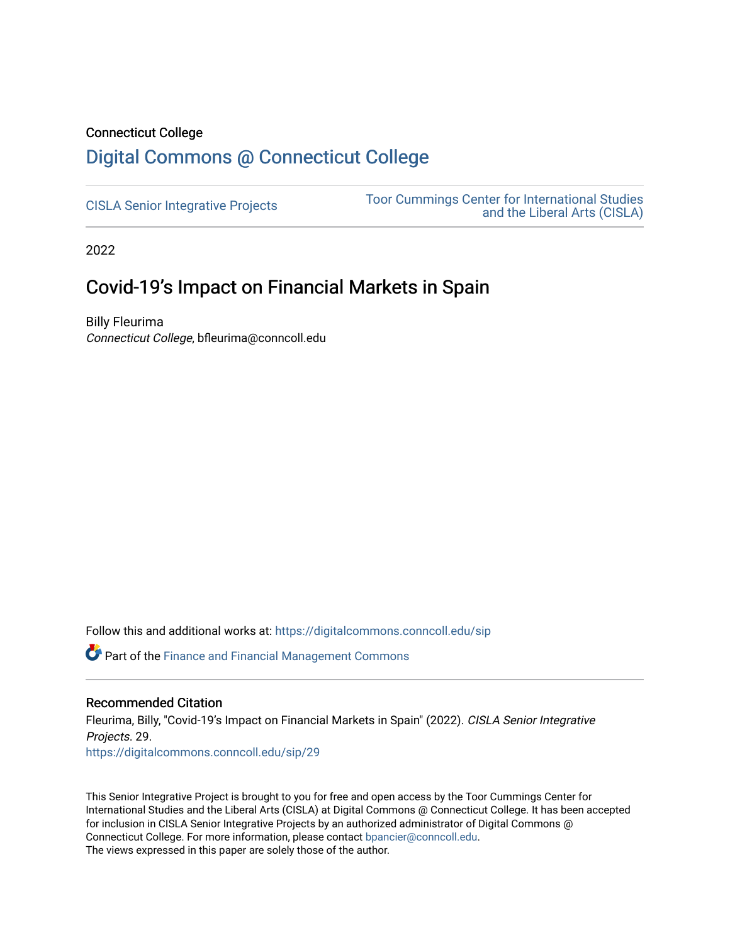# Connecticut College

# [Digital Commons @ Connecticut College](https://digitalcommons.conncoll.edu/)

[CISLA Senior Integrative Projects](https://digitalcommons.conncoll.edu/sip) [Toor Cummings Center for International Studies](https://digitalcommons.conncoll.edu/cisla)  [and the Liberal Arts \(CISLA\)](https://digitalcommons.conncoll.edu/cisla) 

2022

# Covid-19's Impact on Financial Markets in Spain

Billy Fleurima Connecticut College, bfleurima@conncoll.edu

Follow this and additional works at: [https://digitalcommons.conncoll.edu/sip](https://digitalcommons.conncoll.edu/sip?utm_source=digitalcommons.conncoll.edu%2Fsip%2F29&utm_medium=PDF&utm_campaign=PDFCoverPages) 

**P** Part of the Finance and Financial Management Commons

#### Recommended Citation

Fleurima, Billy, "Covid-19's Impact on Financial Markets in Spain" (2022). CISLA Senior Integrative Projects. 29.

[https://digitalcommons.conncoll.edu/sip/29](https://digitalcommons.conncoll.edu/sip/29?utm_source=digitalcommons.conncoll.edu%2Fsip%2F29&utm_medium=PDF&utm_campaign=PDFCoverPages) 

This Senior Integrative Project is brought to you for free and open access by the Toor Cummings Center for International Studies and the Liberal Arts (CISLA) at Digital Commons @ Connecticut College. It has been accepted for inclusion in CISLA Senior Integrative Projects by an authorized administrator of Digital Commons @ Connecticut College. For more information, please contact [bpancier@conncoll.edu.](mailto:bpancier@conncoll.edu) The views expressed in this paper are solely those of the author.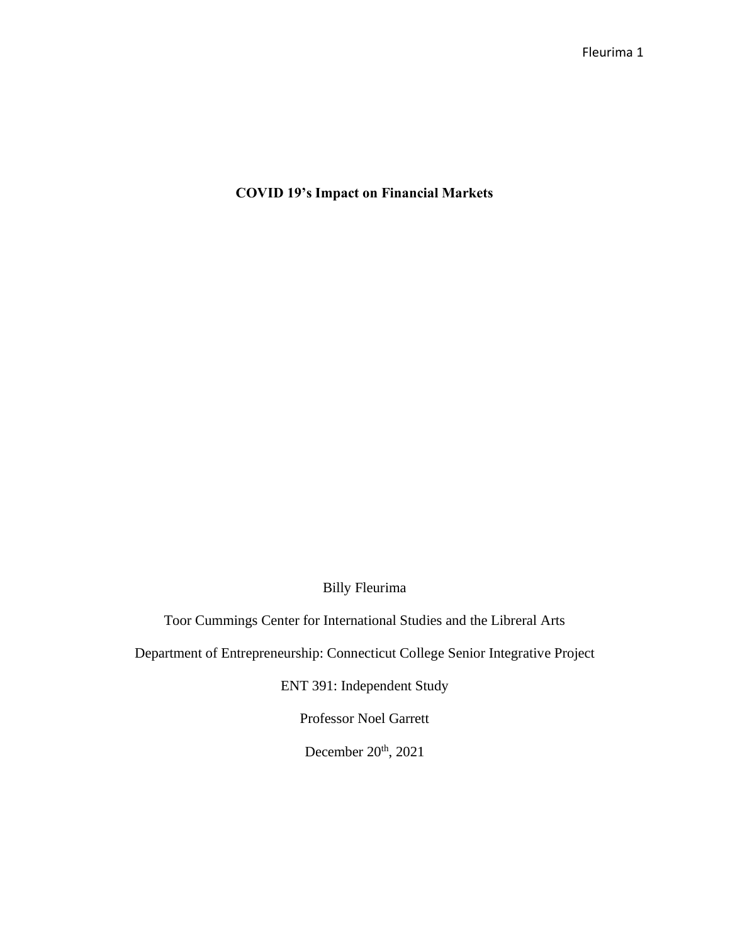**COVID 19's Impact on Financial Markets**

Billy Fleurima

Toor Cummings Center for International Studies and the Libreral Arts

Department of Entrepreneurship: Connecticut College Senior Integrative Project

ENT 391: Independent Study

Professor Noel Garrett

December 20<sup>th</sup>, 2021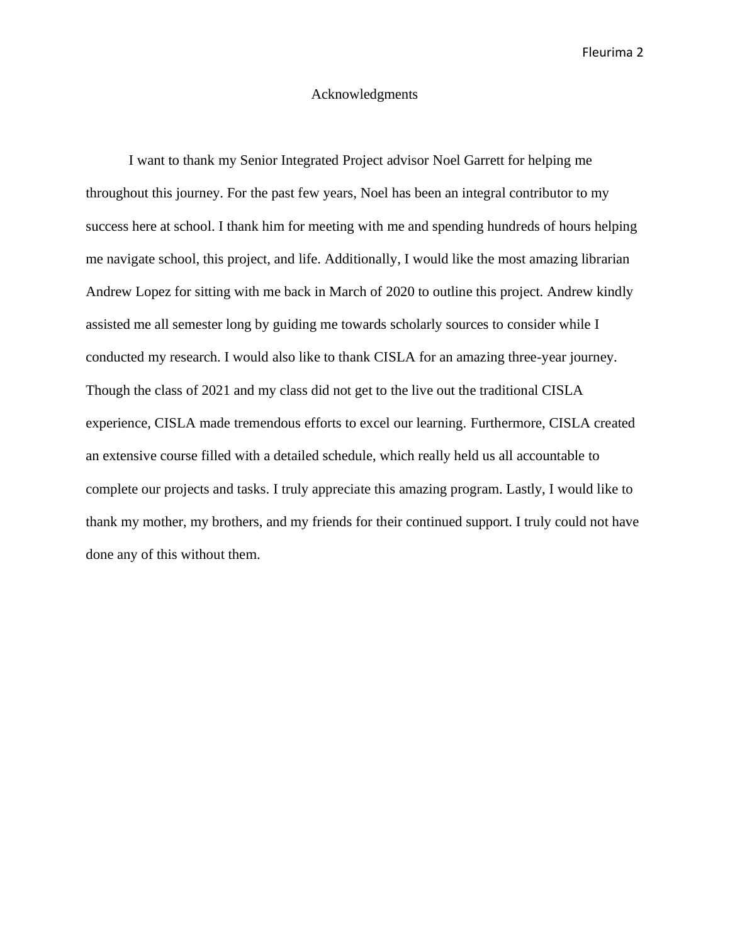# Acknowledgments

I want to thank my Senior Integrated Project advisor Noel Garrett for helping me throughout this journey. For the past few years, Noel has been an integral contributor to my success here at school. I thank him for meeting with me and spending hundreds of hours helping me navigate school, this project, and life. Additionally, I would like the most amazing librarian Andrew Lopez for sitting with me back in March of 2020 to outline this project. Andrew kindly assisted me all semester long by guiding me towards scholarly sources to consider while I conducted my research. I would also like to thank CISLA for an amazing three-year journey. Though the class of 2021 and my class did not get to the live out the traditional CISLA experience, CISLA made tremendous efforts to excel our learning. Furthermore, CISLA created an extensive course filled with a detailed schedule, which really held us all accountable to complete our projects and tasks. I truly appreciate this amazing program. Lastly, I would like to thank my mother, my brothers, and my friends for their continued support. I truly could not have done any of this without them.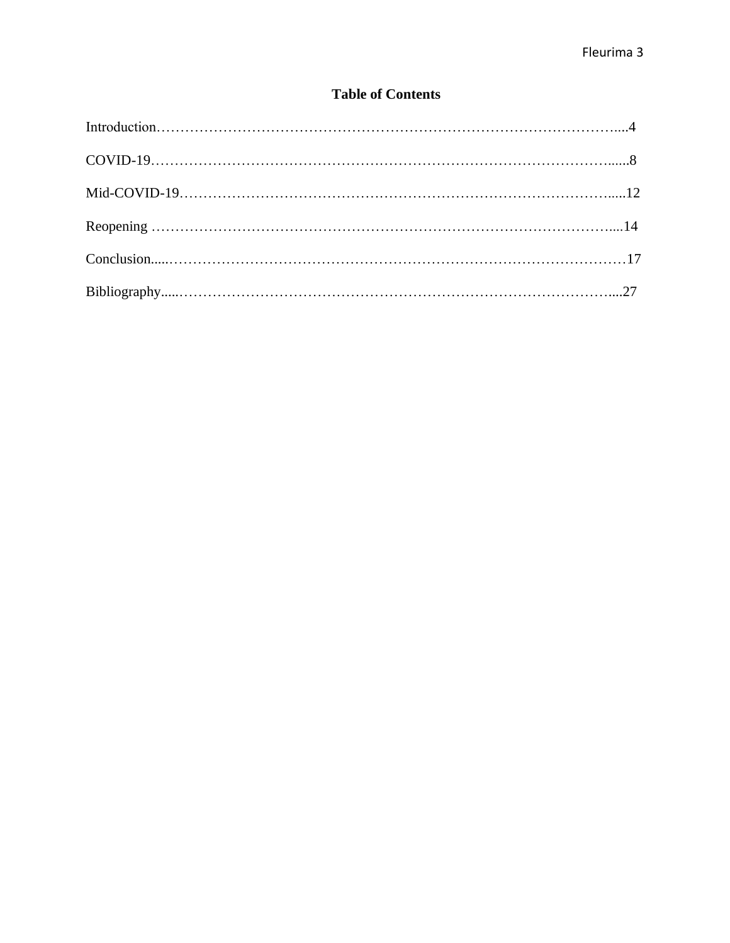# **Table of Contents**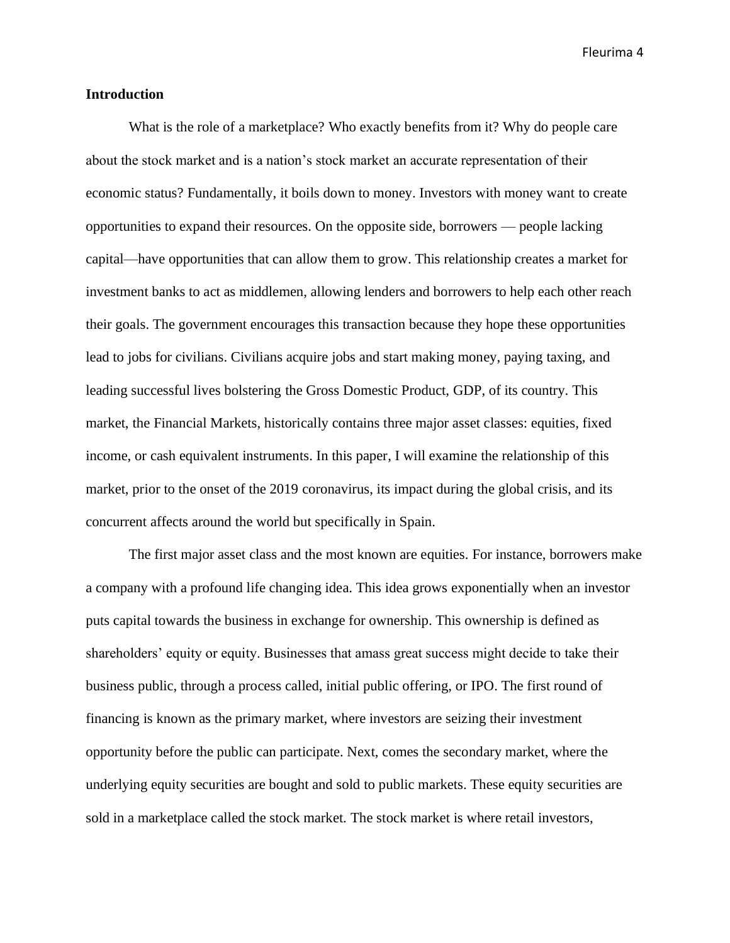## **Introduction**

What is the role of a marketplace? Who exactly benefits from it? Why do people care about the stock market and is a nation's stock market an accurate representation of their economic status? Fundamentally, it boils down to money. Investors with money want to create opportunities to expand their resources. On the opposite side, borrowers — people lacking capital—have opportunities that can allow them to grow. This relationship creates a market for investment banks to act as middlemen, allowing lenders and borrowers to help each other reach their goals. The government encourages this transaction because they hope these opportunities lead to jobs for civilians. Civilians acquire jobs and start making money, paying taxing, and leading successful lives bolstering the Gross Domestic Product, GDP, of its country. This market, the Financial Markets, historically contains three major asset classes: equities, fixed income, or cash equivalent instruments. In this paper, I will examine the relationship of this market, prior to the onset of the 2019 coronavirus, its impact during the global crisis, and its concurrent affects around the world but specifically in Spain.

The first major asset class and the most known are equities. For instance, borrowers make a company with a profound life changing idea. This idea grows exponentially when an investor puts capital towards the business in exchange for ownership. This ownership is defined as shareholders' equity or equity. Businesses that amass great success might decide to take their business public, through a process called, initial public offering, or IPO. The first round of financing is known as the primary market, where investors are seizing their investment opportunity before the public can participate. Next, comes the secondary market, where the underlying equity securities are bought and sold to public markets. These equity securities are sold in a marketplace called the stock market. The stock market is where retail investors,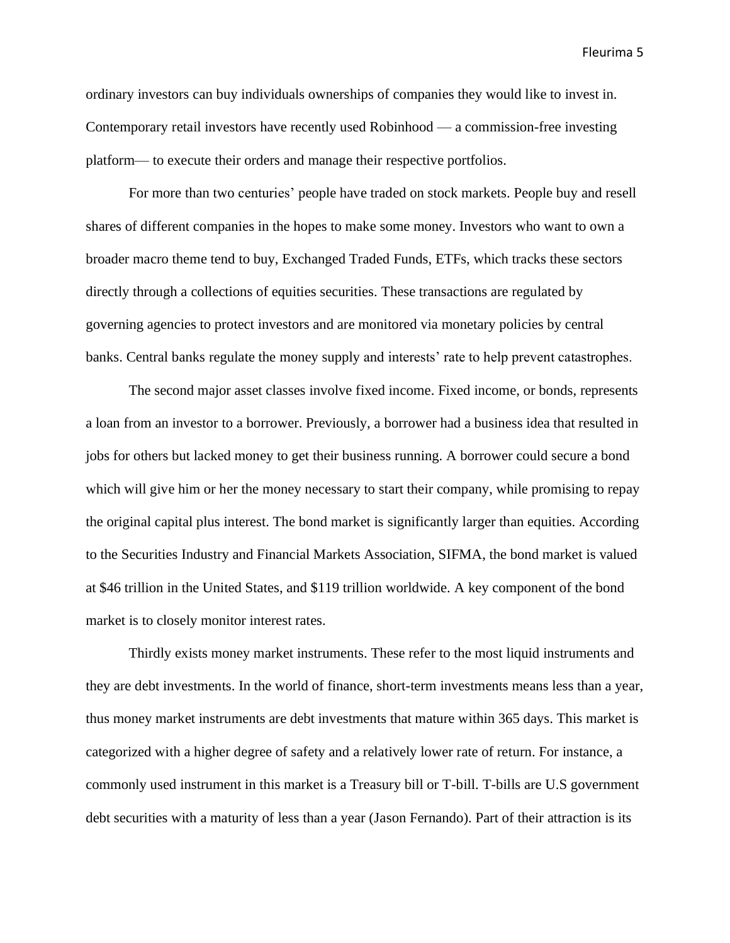ordinary investors can buy individuals ownerships of companies they would like to invest in. Contemporary retail investors have recently used Robinhood — a commission-free investing platform— to execute their orders and manage their respective portfolios.

For more than two centuries' people have traded on stock markets. People buy and resell shares of different companies in the hopes to make some money. Investors who want to own a broader macro theme tend to buy, Exchanged Traded Funds, ETFs, which tracks these sectors directly through a collections of equities securities. These transactions are regulated by governing agencies to protect investors and are monitored via monetary policies by central banks. Central banks regulate the money supply and interests' rate to help prevent catastrophes.

The second major asset classes involve fixed income. Fixed income, or bonds, represents a loan from an investor to a borrower. Previously, a borrower had a business idea that resulted in jobs for others but lacked money to get their business running. A borrower could secure a bond which will give him or her the money necessary to start their company, while promising to repay the original capital plus interest. The bond market is significantly larger than equities. According to the Securities Industry and Financial Markets Association, SIFMA, the bond market is valued at \$46 trillion in the United States, and \$119 trillion worldwide. A key component of the bond market is to closely monitor interest rates.

Thirdly exists money market instruments. These refer to the most liquid instruments and they are debt investments. In the world of finance, short-term investments means less than a year, thus money market instruments are debt investments that mature within 365 days. This market is categorized with a higher degree of safety and a relatively lower rate of return. For instance, a commonly used instrument in this market is a Treasury bill or T-bill. T-bills are U.S government debt securities with a maturity of less than a year (Jason Fernando). Part of their attraction is its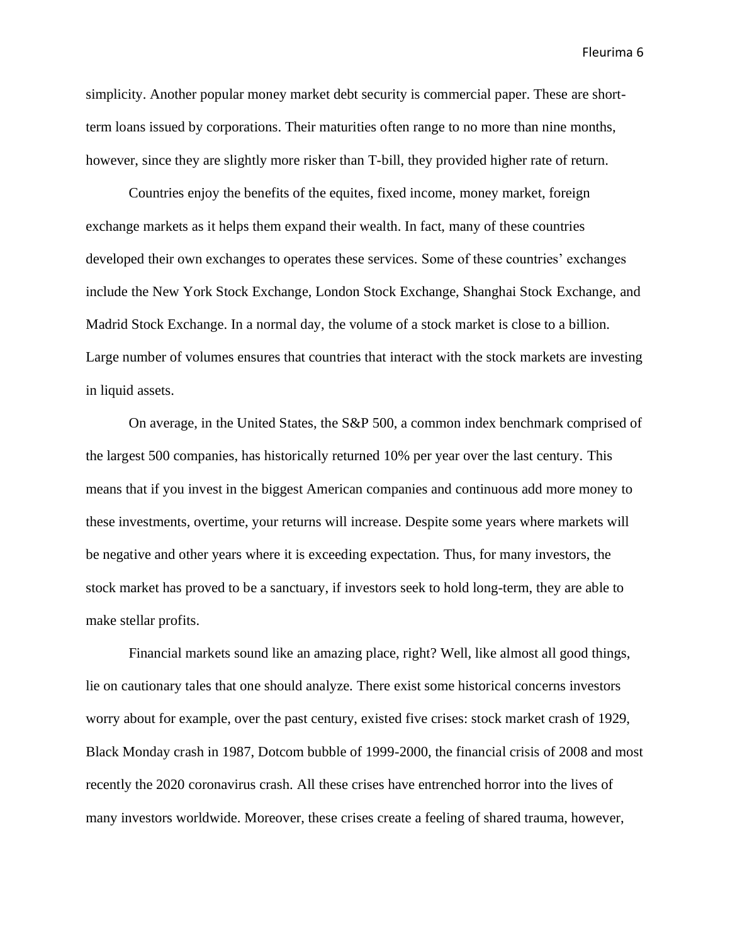simplicity. Another popular money market debt security is commercial paper. These are shortterm loans issued by corporations. Their maturities often range to no more than nine months, however, since they are slightly more risker than T-bill, they provided higher rate of return.

Countries enjoy the benefits of the equites, fixed income, money market, foreign exchange markets as it helps them expand their wealth. In fact, many of these countries developed their own exchanges to operates these services. Some of these countries' exchanges include the New York Stock Exchange, London Stock Exchange, Shanghai Stock Exchange, and Madrid Stock Exchange. In a normal day, the volume of a stock market is close to a billion. Large number of volumes ensures that countries that interact with the stock markets are investing in liquid assets.

On average, in the United States, the S&P 500, a common index benchmark comprised of the largest 500 companies, has historically returned 10% per year over the last century. This means that if you invest in the biggest American companies and continuous add more money to these investments, overtime, your returns will increase. Despite some years where markets will be negative and other years where it is exceeding expectation. Thus, for many investors, the stock market has proved to be a sanctuary, if investors seek to hold long-term, they are able to make stellar profits.

Financial markets sound like an amazing place, right? Well, like almost all good things, lie on cautionary tales that one should analyze. There exist some historical concerns investors worry about for example, over the past century, existed five crises: stock market crash of 1929, Black Monday crash in 1987, Dotcom bubble of 1999-2000, the financial crisis of 2008 and most recently the 2020 coronavirus crash. All these crises have entrenched horror into the lives of many investors worldwide. Moreover, these crises create a feeling of shared trauma, however,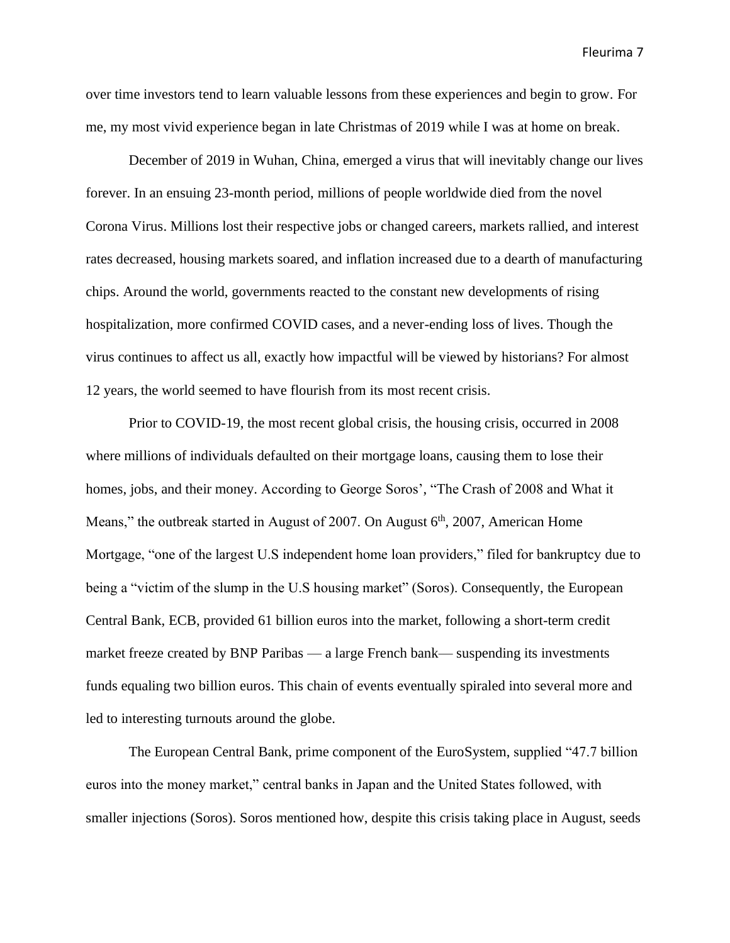over time investors tend to learn valuable lessons from these experiences and begin to grow. For me, my most vivid experience began in late Christmas of 2019 while I was at home on break.

December of 2019 in Wuhan, China, emerged a virus that will inevitably change our lives forever. In an ensuing 23-month period, millions of people worldwide died from the novel Corona Virus. Millions lost their respective jobs or changed careers, markets rallied, and interest rates decreased, housing markets soared, and inflation increased due to a dearth of manufacturing chips. Around the world, governments reacted to the constant new developments of rising hospitalization, more confirmed COVID cases, and a never-ending loss of lives. Though the virus continues to affect us all, exactly how impactful will be viewed by historians? For almost 12 years, the world seemed to have flourish from its most recent crisis.

Prior to COVID-19, the most recent global crisis, the housing crisis, occurred in 2008 where millions of individuals defaulted on their mortgage loans, causing them to lose their homes, jobs, and their money. According to George Soros', "The Crash of 2008 and What it Means," the outbreak started in August of 2007. On August  $6<sup>th</sup>$ , 2007, American Home Mortgage, "one of the largest U.S independent home loan providers," filed for bankruptcy due to being a "victim of the slump in the U.S housing market" (Soros). Consequently, the European Central Bank, ECB, provided 61 billion euros into the market, following a short-term credit market freeze created by BNP Paribas — a large French bank— suspending its investments funds equaling two billion euros. This chain of events eventually spiraled into several more and led to interesting turnouts around the globe.

The European Central Bank, prime component of the EuroSystem, supplied "47.7 billion euros into the money market," central banks in Japan and the United States followed, with smaller injections (Soros). Soros mentioned how, despite this crisis taking place in August, seeds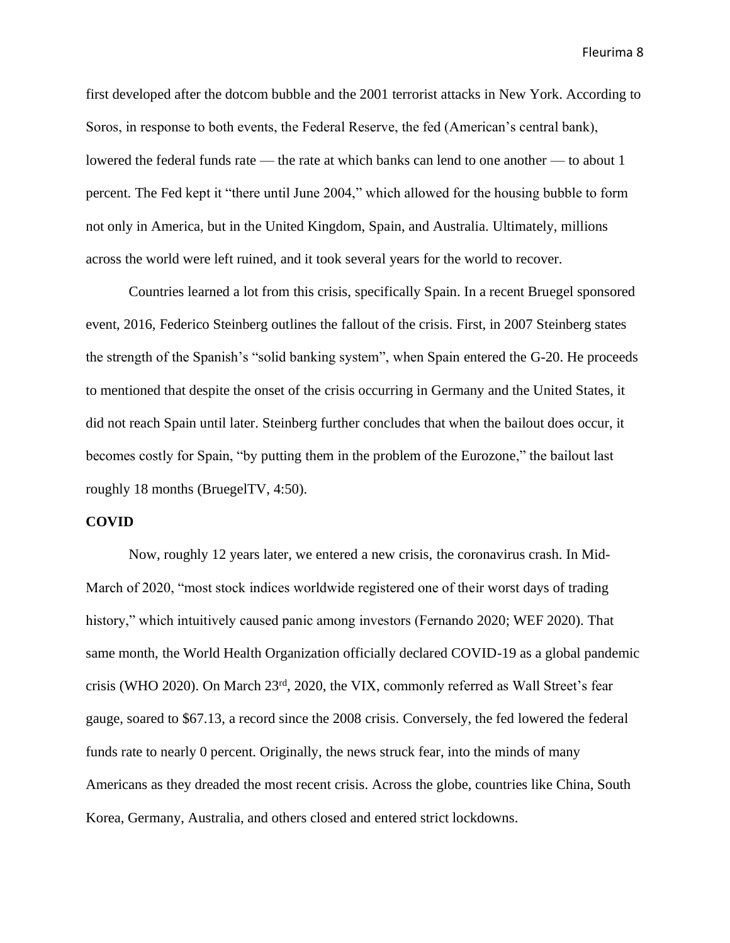first developed after the dotcom bubble and the 2001 terrorist attacks in New York. According to Soros, in response to both events, the Federal Reserve, the fed (American's central bank), lowered the federal funds rate — the rate at which banks can lend to one another — to about 1 percent. The Fed kept it "there until June 2004," which allowed for the housing bubble to form not only in America, but in the United Kingdom, Spain, and Australia. Ultimately, millions across the world were left ruined, and it took several years for the world to recover.

Countries learned a lot from this crisis, specifically Spain. In a recent Bruegel sponsored event, 2016, Federico Steinberg outlines the fallout of the crisis. First, in 2007 Steinberg states the strength of the Spanish's "solid banking system", when Spain entered the G-20. He proceeds to mentioned that despite the onset of the crisis occurring in Germany and the United States, it did not reach Spain until later. Steinberg further concludes that when the bailout does occur, it becomes costly for Spain, "by putting them in the problem of the Eurozone," the bailout last roughly 18 months (BruegelTV, 4:50).

#### **COVID**

Now, roughly 12 years later, we entered a new crisis, the coronavirus crash. In Mid-March of 2020, "most stock indices worldwide registered one of their worst days of trading history," which intuitively caused panic among investors (Fernando 2020; WEF 2020). That same month, the World Health Organization officially declared COVID-19 as a global pandemic crisis (WHO 2020). On March 23rd, 2020, the VIX, commonly referred as Wall Street's fear gauge, soared to \$67.13, a record since the 2008 crisis. Conversely, the fed lowered the federal funds rate to nearly 0 percent. Originally, the news struck fear, into the minds of many Americans as they dreaded the most recent crisis. Across the globe, countries like China, South Korea, Germany, Australia, and others closed and entered strict lockdowns.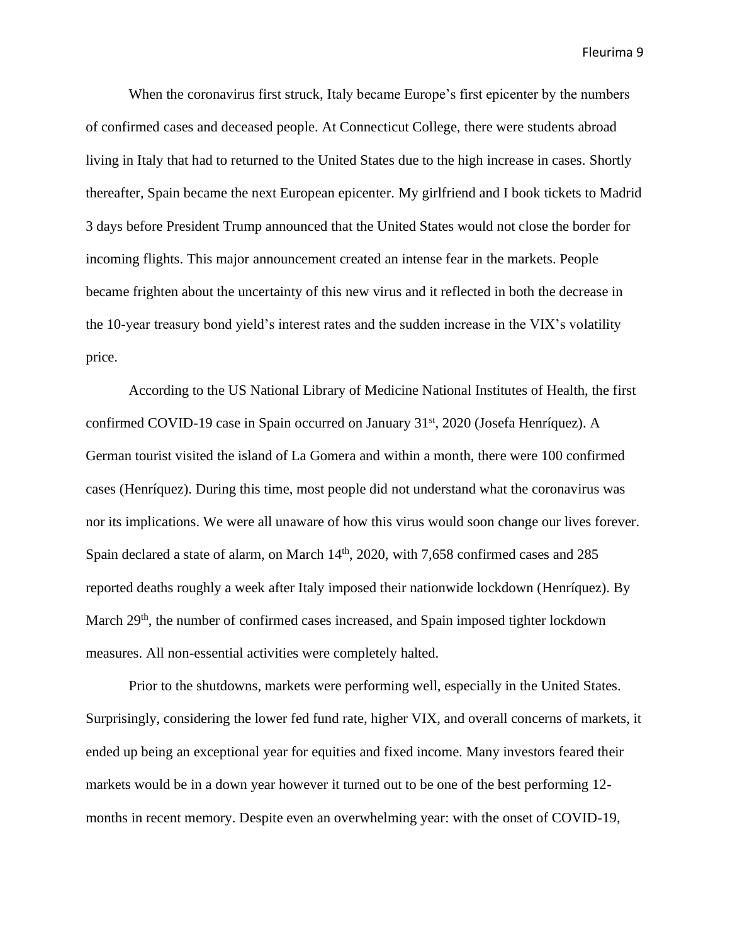When the coronavirus first struck, Italy became Europe's first epicenter by the numbers of confirmed cases and deceased people. At Connecticut College, there were students abroad living in Italy that had to returned to the United States due to the high increase in cases. Shortly thereafter, Spain became the next European epicenter. My girlfriend and I book tickets to Madrid 3 days before President Trump announced that the United States would not close the border for incoming flights. This major announcement created an intense fear in the markets. People became frighten about the uncertainty of this new virus and it reflected in both the decrease in the 10-year treasury bond yield's interest rates and the sudden increase in the VIX's volatility price.

According to the US National Library of Medicine National Institutes of Health, the first confirmed COVID-19 case in Spain occurred on January 31<sup>st</sup>, 2020 (Josefa Henríquez). A German tourist visited the island of La Gomera and within a month, there were 100 confirmed cases (Henríquez). During this time, most people did not understand what the coronavirus was nor its implications. We were all unaware of how this virus would soon change our lives forever. Spain declared a state of alarm, on March 14<sup>th</sup>, 2020, with 7,658 confirmed cases and 285 reported deaths roughly a week after Italy imposed their nationwide lockdown (Henríquez). By March 29<sup>th</sup>, the number of confirmed cases increased, and Spain imposed tighter lockdown measures. All non-essential activities were completely halted.

Prior to the shutdowns, markets were performing well, especially in the United States. Surprisingly, considering the lower fed fund rate, higher VIX, and overall concerns of markets, it ended up being an exceptional year for equities and fixed income. Many investors feared their markets would be in a down year however it turned out to be one of the best performing 12 months in recent memory. Despite even an overwhelming year: with the onset of COVID-19,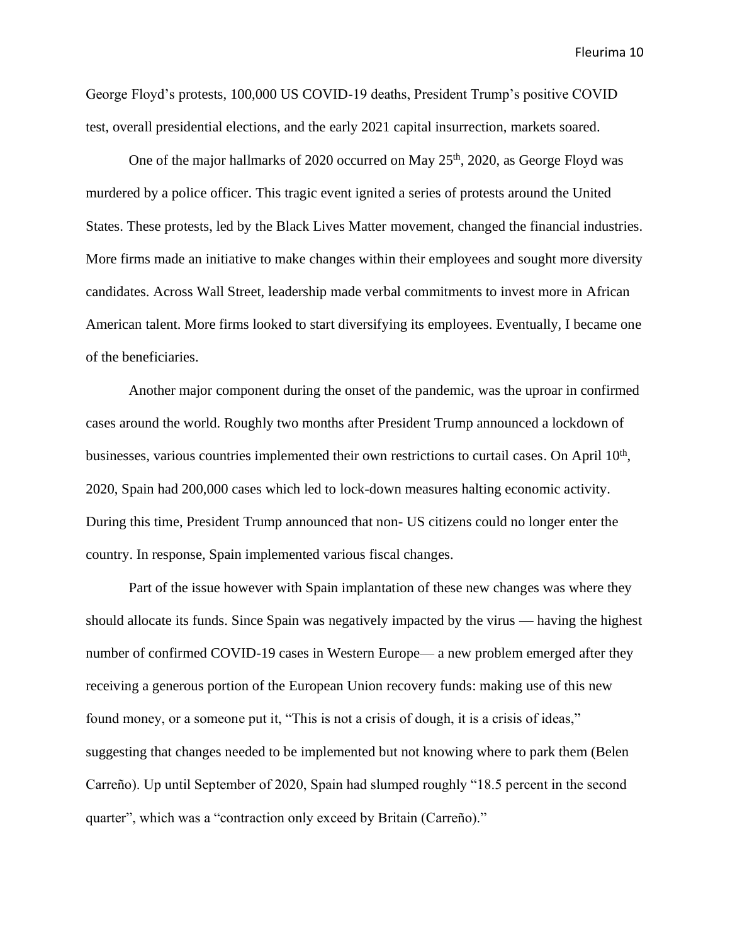George Floyd's protests, 100,000 US COVID-19 deaths, President Trump's positive COVID test, overall presidential elections, and the early 2021 capital insurrection, markets soared.

One of the major hallmarks of 2020 occurred on May  $25<sup>th</sup>$ , 2020, as George Floyd was murdered by a police officer. This tragic event ignited a series of protests around the United States. These protests, led by the Black Lives Matter movement, changed the financial industries. More firms made an initiative to make changes within their employees and sought more diversity candidates. Across Wall Street, leadership made verbal commitments to invest more in African American talent. More firms looked to start diversifying its employees. Eventually, I became one of the beneficiaries.

Another major component during the onset of the pandemic, was the uproar in confirmed cases around the world. Roughly two months after President Trump announced a lockdown of businesses, various countries implemented their own restrictions to curtail cases. On April 10<sup>th</sup>, 2020, Spain had 200,000 cases which led to lock-down measures halting economic activity. During this time, President Trump announced that non- US citizens could no longer enter the country. In response, Spain implemented various fiscal changes.

Part of the issue however with Spain implantation of these new changes was where they should allocate its funds. Since Spain was negatively impacted by the virus — having the highest number of confirmed COVID-19 cases in Western Europe— a new problem emerged after they receiving a generous portion of the European Union recovery funds: making use of this new found money, or a someone put it, "This is not a crisis of dough, it is a crisis of ideas," suggesting that changes needed to be implemented but not knowing where to park them (Belen Carreño). Up until September of 2020, Spain had slumped roughly "18.5 percent in the second quarter", which was a "contraction only exceed by Britain (Carreño)."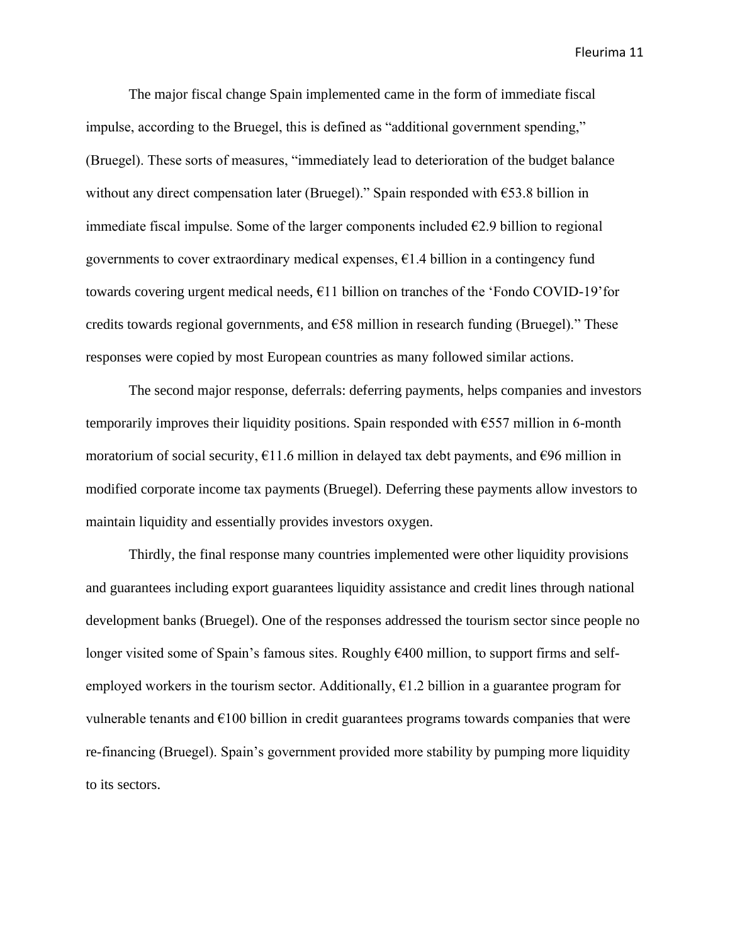The major fiscal change Spain implemented came in the form of immediate fiscal impulse, according to the Bruegel, this is defined as "additional government spending," (Bruegel). These sorts of measures, "immediately lead to deterioration of the budget balance without any direct compensation later (Bruegel)." Spain responded with  $\epsilon$ 53.8 billion in immediate fiscal impulse. Some of the larger components included  $E$ 2.9 billion to regional governments to cover extraordinary medical expenses,  $\epsilon$ 1.4 billion in a contingency fund towards covering urgent medical needs, €11 billion on tranches of the 'Fondo COVID-19'for credits towards regional governments, and €58 million in research funding (Bruegel)." These responses were copied by most European countries as many followed similar actions.

The second major response, deferrals: deferring payments, helps companies and investors temporarily improves their liquidity positions. Spain responded with  $\epsilon$ 557 million in 6-month moratorium of social security,  $\epsilon$ 11.6 million in delayed tax debt payments, and  $\epsilon$ 96 million in modified corporate income tax payments (Bruegel). Deferring these payments allow investors to maintain liquidity and essentially provides investors oxygen.

Thirdly, the final response many countries implemented were other liquidity provisions and guarantees including export guarantees liquidity assistance and credit lines through national development banks (Bruegel). One of the responses addressed the tourism sector since people no longer visited some of Spain's famous sites. Roughly €400 million, to support firms and selfemployed workers in the tourism sector. Additionally,  $\epsilon$ 1.2 billion in a guarantee program for vulnerable tenants and  $\epsilon$ 100 billion in credit guarantees programs towards companies that were re-financing (Bruegel). Spain's government provided more stability by pumping more liquidity to its sectors.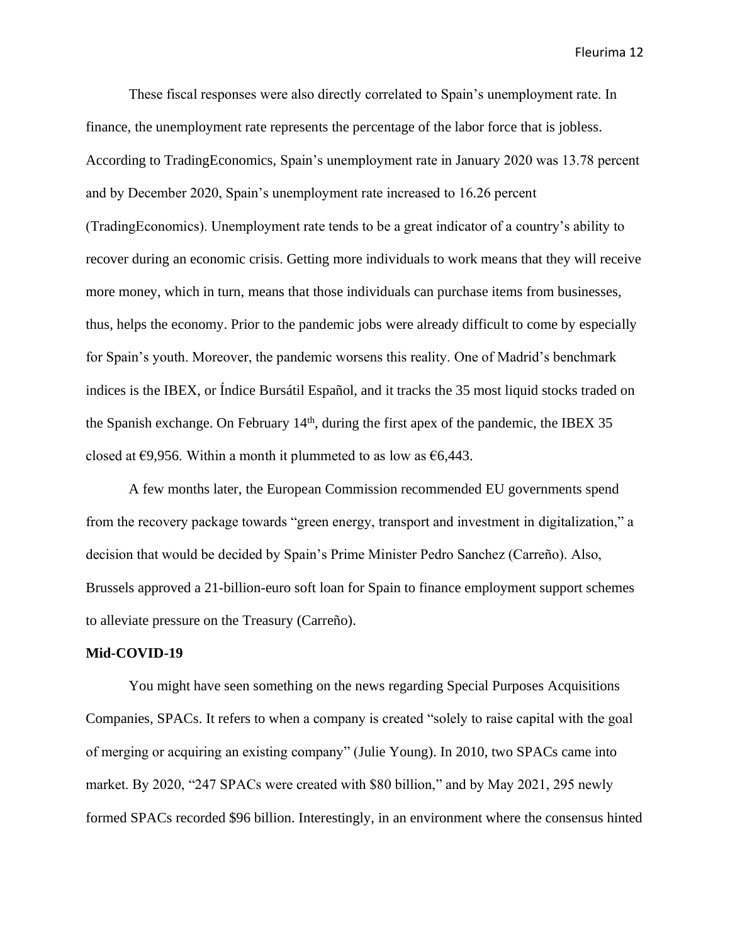These fiscal responses were also directly correlated to Spain's unemployment rate. In finance, the unemployment rate represents the percentage of the labor force that is jobless. According to TradingEconomics, Spain's unemployment rate in January 2020 was 13.78 percent and by December 2020, Spain's unemployment rate increased to 16.26 percent (TradingEconomics). Unemployment rate tends to be a great indicator of a country's ability to recover during an economic crisis. Getting more individuals to work means that they will receive more money, which in turn, means that those individuals can purchase items from businesses, thus, helps the economy. Prior to the pandemic jobs were already difficult to come by especially for Spain's youth. Moreover, the pandemic worsens this reality. One of Madrid's benchmark indices is the IBEX, or Índice Bursátil Español, and it tracks the 35 most liquid stocks traded on the Spanish exchange. On February 14<sup>th</sup>, during the first apex of the pandemic, the IBEX 35 closed at  $\epsilon$ 9,956. Within a month it plummeted to as low as  $\epsilon$ 6,443.

A few months later, the European Commission recommended EU governments spend from the recovery package towards "green energy, transport and investment in digitalization," a decision that would be decided by Spain's Prime Minister Pedro Sanchez (Carreño). Also, Brussels approved a 21-billion-euro soft loan for Spain to finance employment support schemes to alleviate pressure on the Treasury (Carreño).

#### **Mid-COVID-19**

You might have seen something on the news regarding Special Purposes Acquisitions Companies, SPACs. It refers to when a company is created "solely to raise capital with the goal of merging or acquiring an existing company" (Julie Young). In 2010, two SPACs came into market. By 2020, "247 SPACs were created with \$80 billion," and by May 2021, 295 newly formed SPACs recorded \$96 billion. Interestingly, in an environment where the consensus hinted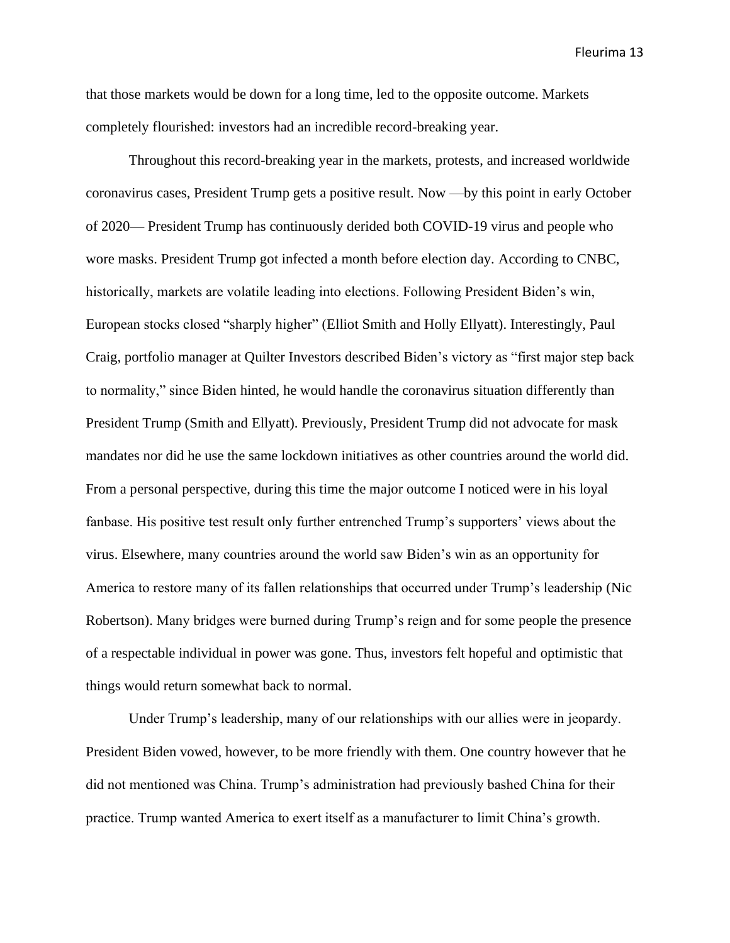that those markets would be down for a long time, led to the opposite outcome. Markets completely flourished: investors had an incredible record-breaking year.

Throughout this record-breaking year in the markets, protests, and increased worldwide coronavirus cases, President Trump gets a positive result. Now —by this point in early October of 2020— President Trump has continuously derided both COVID-19 virus and people who wore masks. President Trump got infected a month before election day. According to CNBC, historically, markets are volatile leading into elections. Following President Biden's win, European stocks closed "sharply higher" (Elliot Smith and Holly Ellyatt). Interestingly, Paul Craig, portfolio manager at Quilter Investors described Biden's victory as "first major step back to normality," since Biden hinted, he would handle the coronavirus situation differently than President Trump (Smith and Ellyatt). Previously, President Trump did not advocate for mask mandates nor did he use the same lockdown initiatives as other countries around the world did. From a personal perspective, during this time the major outcome I noticed were in his loyal fanbase. His positive test result only further entrenched Trump's supporters' views about the virus. Elsewhere, many countries around the world saw Biden's win as an opportunity for America to restore many of its fallen relationships that occurred under Trump's leadership (Nic Robertson). Many bridges were burned during Trump's reign and for some people the presence of a respectable individual in power was gone. Thus, investors felt hopeful and optimistic that things would return somewhat back to normal.

Under Trump's leadership, many of our relationships with our allies were in jeopardy. President Biden vowed, however, to be more friendly with them. One country however that he did not mentioned was China. Trump's administration had previously bashed China for their practice. Trump wanted America to exert itself as a manufacturer to limit China's growth.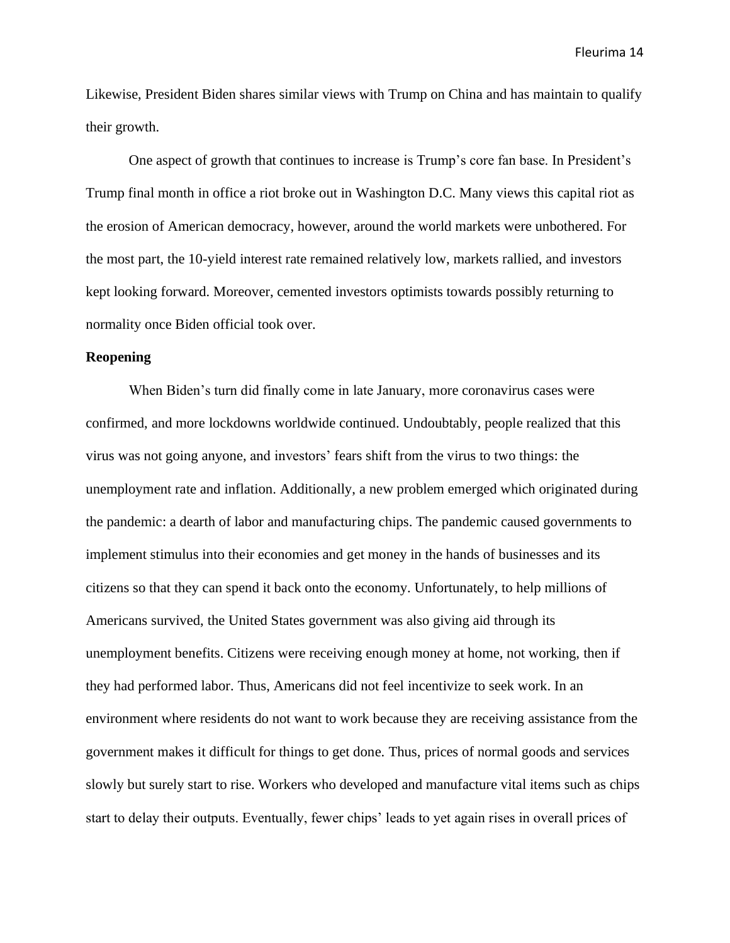Likewise, President Biden shares similar views with Trump on China and has maintain to qualify their growth.

One aspect of growth that continues to increase is Trump's core fan base. In President's Trump final month in office a riot broke out in Washington D.C. Many views this capital riot as the erosion of American democracy, however, around the world markets were unbothered. For the most part, the 10-yield interest rate remained relatively low, markets rallied, and investors kept looking forward. Moreover, cemented investors optimists towards possibly returning to normality once Biden official took over.

# **Reopening**

When Biden's turn did finally come in late January, more coronavirus cases were confirmed, and more lockdowns worldwide continued. Undoubtably, people realized that this virus was not going anyone, and investors' fears shift from the virus to two things: the unemployment rate and inflation. Additionally, a new problem emerged which originated during the pandemic: a dearth of labor and manufacturing chips. The pandemic caused governments to implement stimulus into their economies and get money in the hands of businesses and its citizens so that they can spend it back onto the economy. Unfortunately, to help millions of Americans survived, the United States government was also giving aid through its unemployment benefits. Citizens were receiving enough money at home, not working, then if they had performed labor. Thus, Americans did not feel incentivize to seek work. In an environment where residents do not want to work because they are receiving assistance from the government makes it difficult for things to get done. Thus, prices of normal goods and services slowly but surely start to rise. Workers who developed and manufacture vital items such as chips start to delay their outputs. Eventually, fewer chips' leads to yet again rises in overall prices of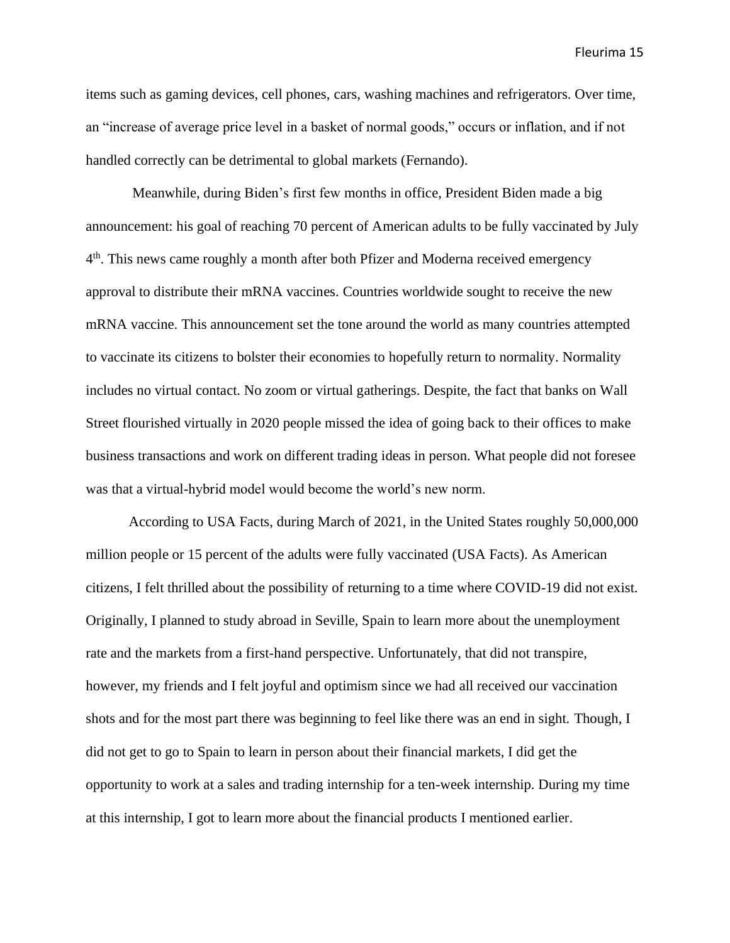items such as gaming devices, cell phones, cars, washing machines and refrigerators. Over time, an "increase of average price level in a basket of normal goods," occurs or inflation, and if not handled correctly can be detrimental to global markets (Fernando).

Meanwhile, during Biden's first few months in office, President Biden made a big announcement: his goal of reaching 70 percent of American adults to be fully vaccinated by July 4<sup>th</sup>. This news came roughly a month after both Pfizer and Moderna received emergency approval to distribute their mRNA vaccines. Countries worldwide sought to receive the new mRNA vaccine. This announcement set the tone around the world as many countries attempted to vaccinate its citizens to bolster their economies to hopefully return to normality. Normality includes no virtual contact. No zoom or virtual gatherings. Despite, the fact that banks on Wall Street flourished virtually in 2020 people missed the idea of going back to their offices to make business transactions and work on different trading ideas in person. What people did not foresee was that a virtual-hybrid model would become the world's new norm.

According to USA Facts, during March of 2021, in the United States roughly 50,000,000 million people or 15 percent of the adults were fully vaccinated (USA Facts). As American citizens, I felt thrilled about the possibility of returning to a time where COVID-19 did not exist. Originally, I planned to study abroad in Seville, Spain to learn more about the unemployment rate and the markets from a first-hand perspective. Unfortunately, that did not transpire, however, my friends and I felt joyful and optimism since we had all received our vaccination shots and for the most part there was beginning to feel like there was an end in sight. Though, I did not get to go to Spain to learn in person about their financial markets, I did get the opportunity to work at a sales and trading internship for a ten-week internship. During my time at this internship, I got to learn more about the financial products I mentioned earlier.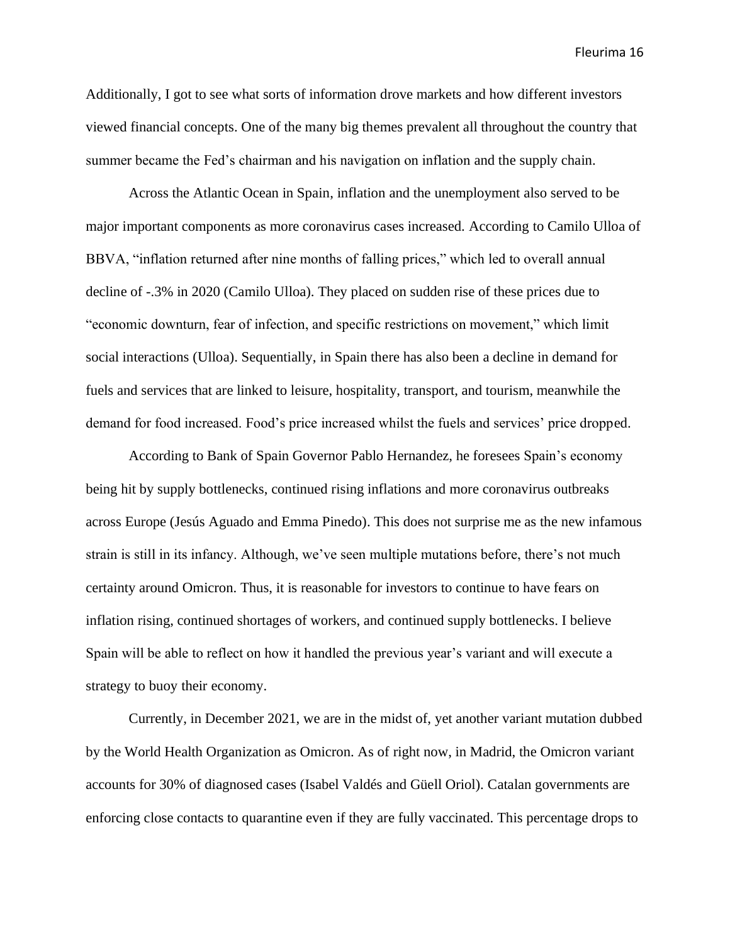Additionally, I got to see what sorts of information drove markets and how different investors viewed financial concepts. One of the many big themes prevalent all throughout the country that summer became the Fed's chairman and his navigation on inflation and the supply chain.

Across the Atlantic Ocean in Spain, inflation and the unemployment also served to be major important components as more coronavirus cases increased. According to Camilo Ulloa of BBVA, "inflation returned after nine months of falling prices," which led to overall annual decline of -.3% in 2020 (Camilo Ulloa). They placed on sudden rise of these prices due to "economic downturn, fear of infection, and specific restrictions on movement," which limit social interactions (Ulloa). Sequentially, in Spain there has also been a decline in demand for fuels and services that are linked to leisure, hospitality, transport, and tourism, meanwhile the demand for food increased. Food's price increased whilst the fuels and services' price dropped.

According to Bank of Spain Governor Pablo Hernandez, he foresees Spain's economy being hit by supply bottlenecks, continued rising inflations and more coronavirus outbreaks across Europe (Jesús Aguado and Emma Pinedo). This does not surprise me as the new infamous strain is still in its infancy. Although, we've seen multiple mutations before, there's not much certainty around Omicron. Thus, it is reasonable for investors to continue to have fears on inflation rising, continued shortages of workers, and continued supply bottlenecks. I believe Spain will be able to reflect on how it handled the previous year's variant and will execute a strategy to buoy their economy.

Currently, in December 2021, we are in the midst of, yet another variant mutation dubbed by the World Health Organization as Omicron. As of right now, in Madrid, the Omicron variant accounts for 30% of diagnosed cases (Isabel Valdés and Güell Oriol). Catalan governments are enforcing close contacts to quarantine even if they are fully vaccinated. This percentage drops to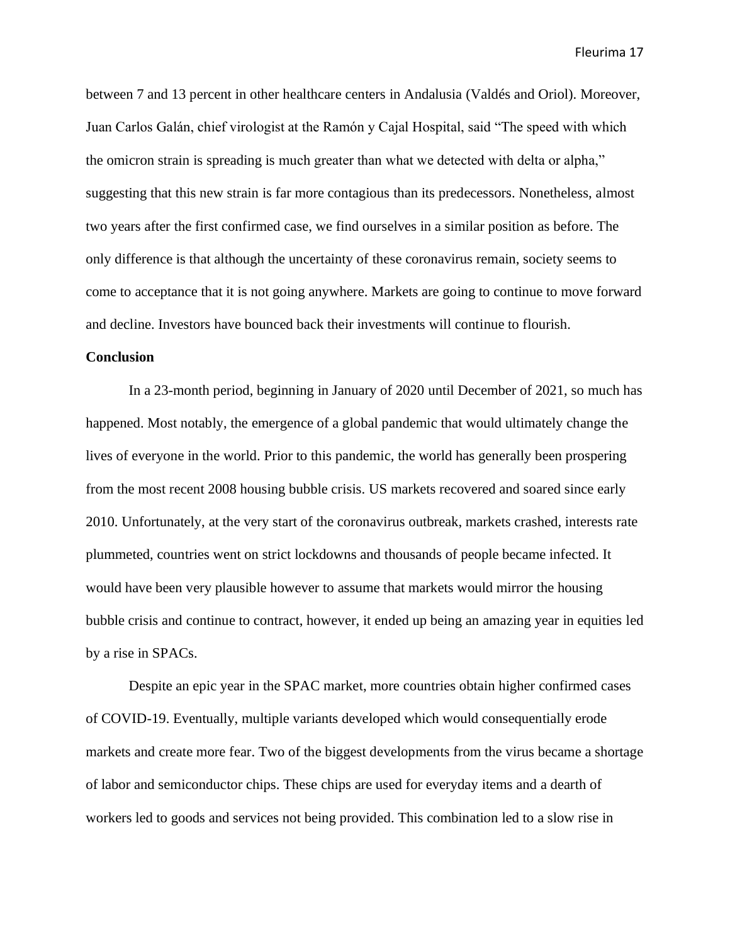between 7 and 13 percent in other healthcare centers in Andalusia (Valdés and Oriol). Moreover, Juan Carlos Galán, chief virologist at the Ramón y Cajal Hospital, said "The speed with which the omicron strain is spreading is much greater than what we detected with delta or alpha," suggesting that this new strain is far more contagious than its predecessors. Nonetheless, almost two years after the first confirmed case, we find ourselves in a similar position as before. The only difference is that although the uncertainty of these coronavirus remain, society seems to come to acceptance that it is not going anywhere. Markets are going to continue to move forward and decline. Investors have bounced back their investments will continue to flourish.

## **Conclusion**

In a 23-month period, beginning in January of 2020 until December of 2021, so much has happened. Most notably, the emergence of a global pandemic that would ultimately change the lives of everyone in the world. Prior to this pandemic, the world has generally been prospering from the most recent 2008 housing bubble crisis. US markets recovered and soared since early 2010. Unfortunately, at the very start of the coronavirus outbreak, markets crashed, interests rate plummeted, countries went on strict lockdowns and thousands of people became infected. It would have been very plausible however to assume that markets would mirror the housing bubble crisis and continue to contract, however, it ended up being an amazing year in equities led by a rise in SPACs.

Despite an epic year in the SPAC market, more countries obtain higher confirmed cases of COVID-19. Eventually, multiple variants developed which would consequentially erode markets and create more fear. Two of the biggest developments from the virus became a shortage of labor and semiconductor chips. These chips are used for everyday items and a dearth of workers led to goods and services not being provided. This combination led to a slow rise in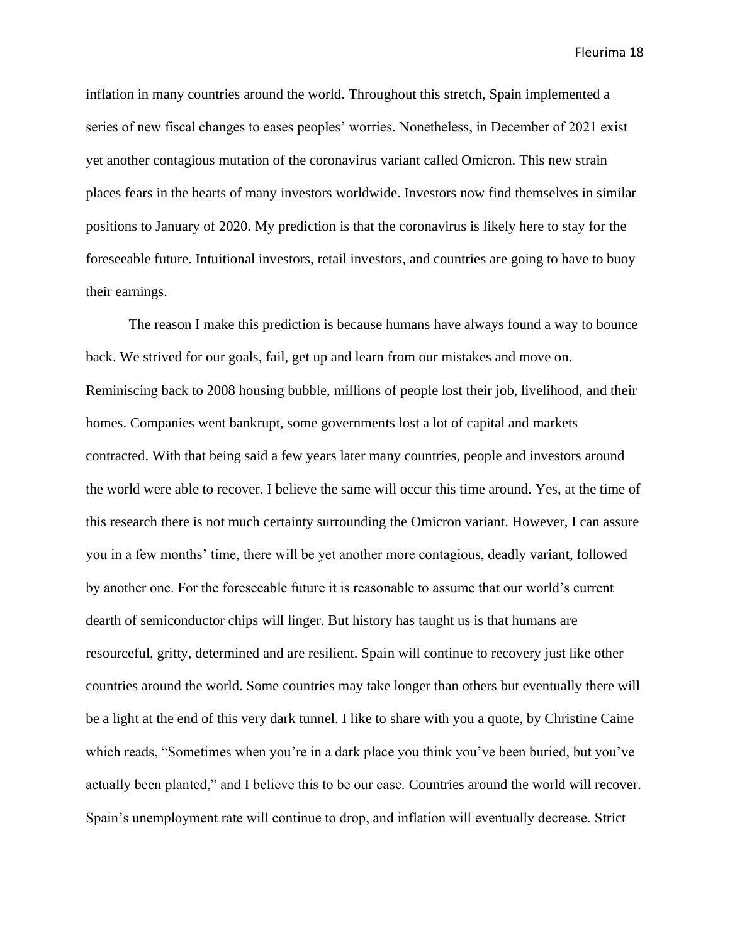inflation in many countries around the world. Throughout this stretch, Spain implemented a series of new fiscal changes to eases peoples' worries. Nonetheless, in December of 2021 exist yet another contagious mutation of the coronavirus variant called Omicron. This new strain places fears in the hearts of many investors worldwide. Investors now find themselves in similar positions to January of 2020. My prediction is that the coronavirus is likely here to stay for the foreseeable future. Intuitional investors, retail investors, and countries are going to have to buoy their earnings.

The reason I make this prediction is because humans have always found a way to bounce back. We strived for our goals, fail, get up and learn from our mistakes and move on. Reminiscing back to 2008 housing bubble, millions of people lost their job, livelihood, and their homes. Companies went bankrupt, some governments lost a lot of capital and markets contracted. With that being said a few years later many countries, people and investors around the world were able to recover. I believe the same will occur this time around. Yes, at the time of this research there is not much certainty surrounding the Omicron variant. However, I can assure you in a few months' time, there will be yet another more contagious, deadly variant, followed by another one. For the foreseeable future it is reasonable to assume that our world's current dearth of semiconductor chips will linger. But history has taught us is that humans are resourceful, gritty, determined and are resilient. Spain will continue to recovery just like other countries around the world. Some countries may take longer than others but eventually there will be a light at the end of this very dark tunnel. I like to share with you a quote, by Christine Caine which reads, "Sometimes when you're in a dark place you think you've been buried, but you've actually been planted," and I believe this to be our case. Countries around the world will recover. Spain's unemployment rate will continue to drop, and inflation will eventually decrease. Strict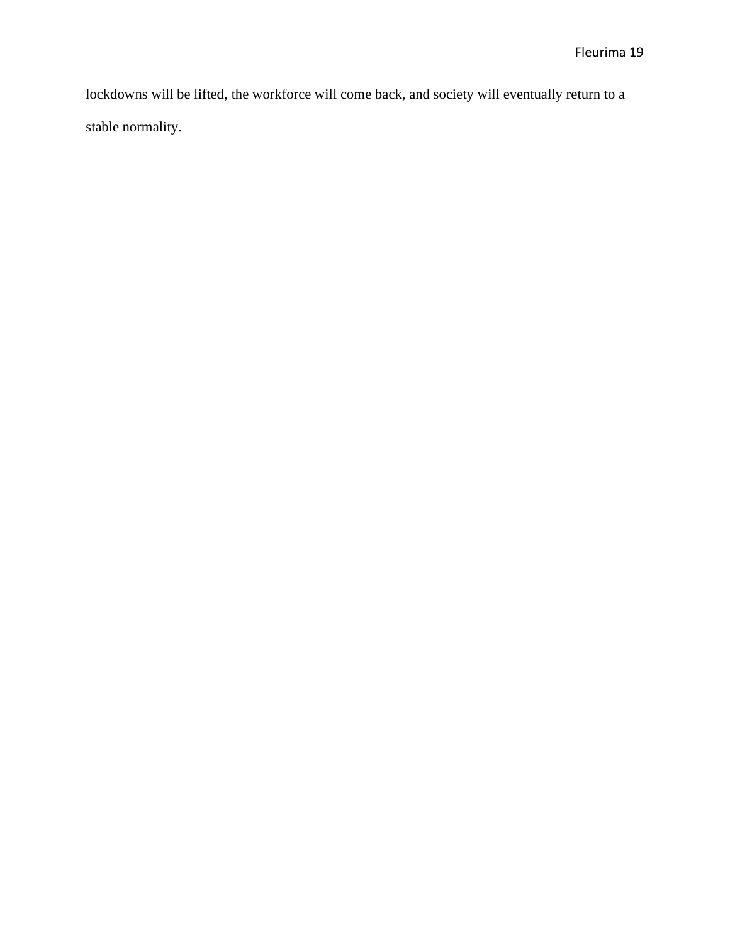lockdowns will be lifted, the workforce will come back, and society will eventually return to a stable normality.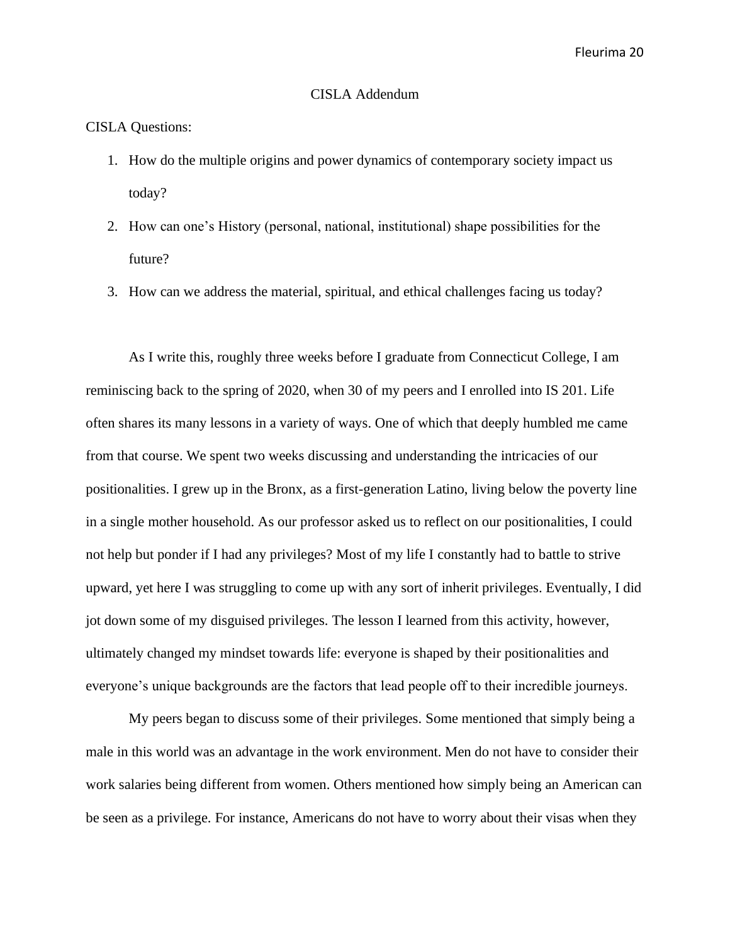### CISLA Addendum

### CISLA Questions:

- 1. How do the multiple origins and power dynamics of contemporary society impact us today?
- 2. How can one's History (personal, national, institutional) shape possibilities for the future?
- 3. How can we address the material, spiritual, and ethical challenges facing us today?

As I write this, roughly three weeks before I graduate from Connecticut College, I am reminiscing back to the spring of 2020, when 30 of my peers and I enrolled into IS 201. Life often shares its many lessons in a variety of ways. One of which that deeply humbled me came from that course. We spent two weeks discussing and understanding the intricacies of our positionalities. I grew up in the Bronx, as a first-generation Latino, living below the poverty line in a single mother household. As our professor asked us to reflect on our positionalities, I could not help but ponder if I had any privileges? Most of my life I constantly had to battle to strive upward, yet here I was struggling to come up with any sort of inherit privileges. Eventually, I did jot down some of my disguised privileges. The lesson I learned from this activity, however, ultimately changed my mindset towards life: everyone is shaped by their positionalities and everyone's unique backgrounds are the factors that lead people off to their incredible journeys.

My peers began to discuss some of their privileges. Some mentioned that simply being a male in this world was an advantage in the work environment. Men do not have to consider their work salaries being different from women. Others mentioned how simply being an American can be seen as a privilege. For instance, Americans do not have to worry about their visas when they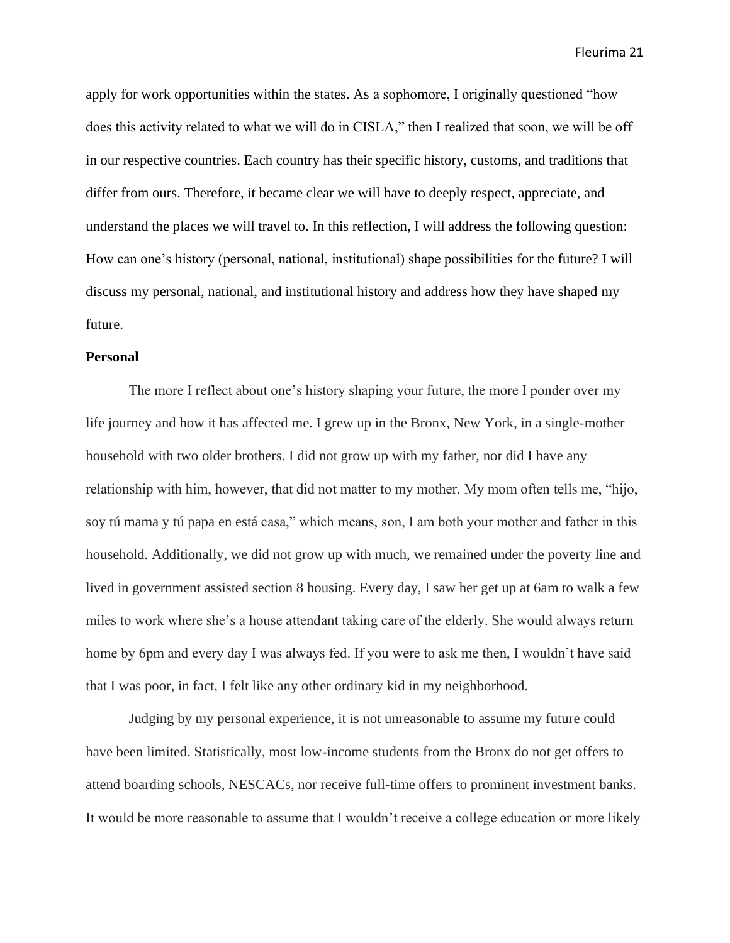apply for work opportunities within the states. As a sophomore, I originally questioned "how does this activity related to what we will do in CISLA," then I realized that soon, we will be off in our respective countries. Each country has their specific history, customs, and traditions that differ from ours. Therefore, it became clear we will have to deeply respect, appreciate, and understand the places we will travel to. In this reflection, I will address the following question: How can one's history (personal, national, institutional) shape possibilities for the future? I will discuss my personal, national, and institutional history and address how they have shaped my future.

### **Personal**

The more I reflect about one's history shaping your future, the more I ponder over my life journey and how it has affected me. I grew up in the Bronx, New York, in a single-mother household with two older brothers. I did not grow up with my father, nor did I have any relationship with him, however, that did not matter to my mother. My mom often tells me, "hijo, soy tú mama y tú papa en está casa," which means, son, I am both your mother and father in this household. Additionally, we did not grow up with much, we remained under the poverty line and lived in government assisted section 8 housing. Every day, I saw her get up at 6am to walk a few miles to work where she's a house attendant taking care of the elderly. She would always return home by 6pm and every day I was always fed. If you were to ask me then, I wouldn't have said that I was poor, in fact, I felt like any other ordinary kid in my neighborhood.

Judging by my personal experience, it is not unreasonable to assume my future could have been limited. Statistically, most low-income students from the Bronx do not get offers to attend boarding schools, NESCACs, nor receive full-time offers to prominent investment banks. It would be more reasonable to assume that I wouldn't receive a college education or more likely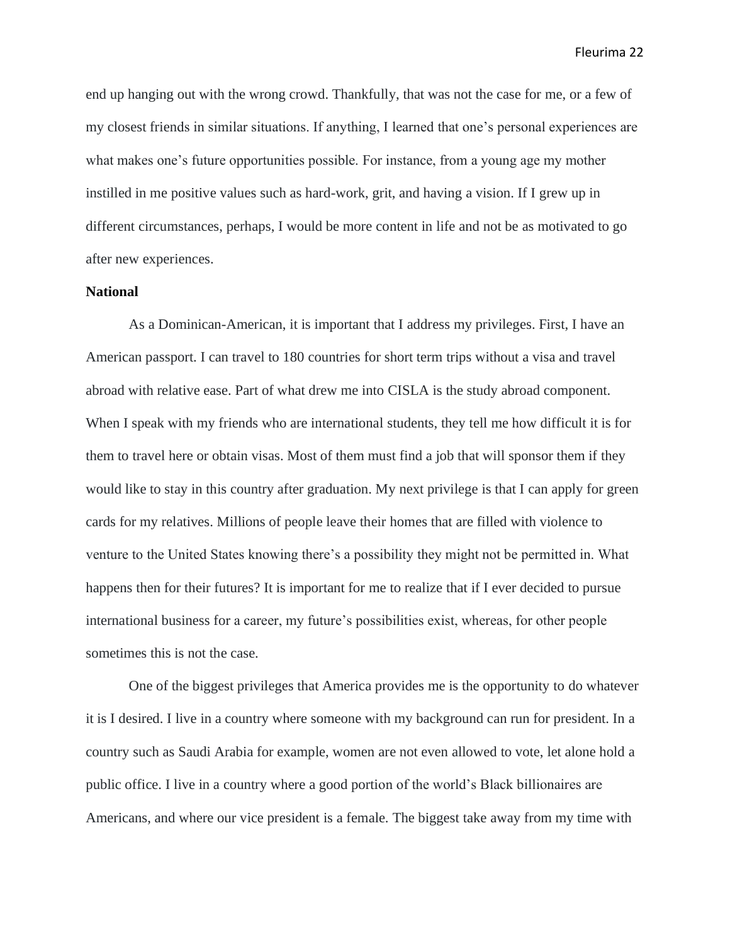end up hanging out with the wrong crowd. Thankfully, that was not the case for me, or a few of my closest friends in similar situations. If anything, I learned that one's personal experiences are what makes one's future opportunities possible. For instance, from a young age my mother instilled in me positive values such as hard-work, grit, and having a vision. If I grew up in different circumstances, perhaps, I would be more content in life and not be as motivated to go after new experiences.

# **National**

As a Dominican-American, it is important that I address my privileges. First, I have an American passport. I can travel to 180 countries for short term trips without a visa and travel abroad with relative ease. Part of what drew me into CISLA is the study abroad component. When I speak with my friends who are international students, they tell me how difficult it is for them to travel here or obtain visas. Most of them must find a job that will sponsor them if they would like to stay in this country after graduation. My next privilege is that I can apply for green cards for my relatives. Millions of people leave their homes that are filled with violence to venture to the United States knowing there's a possibility they might not be permitted in. What happens then for their futures? It is important for me to realize that if I ever decided to pursue international business for a career, my future's possibilities exist, whereas, for other people sometimes this is not the case.

One of the biggest privileges that America provides me is the opportunity to do whatever it is I desired. I live in a country where someone with my background can run for president. In a country such as Saudi Arabia for example, women are not even allowed to vote, let alone hold a public office. I live in a country where a good portion of the world's Black billionaires are Americans, and where our vice president is a female. The biggest take away from my time with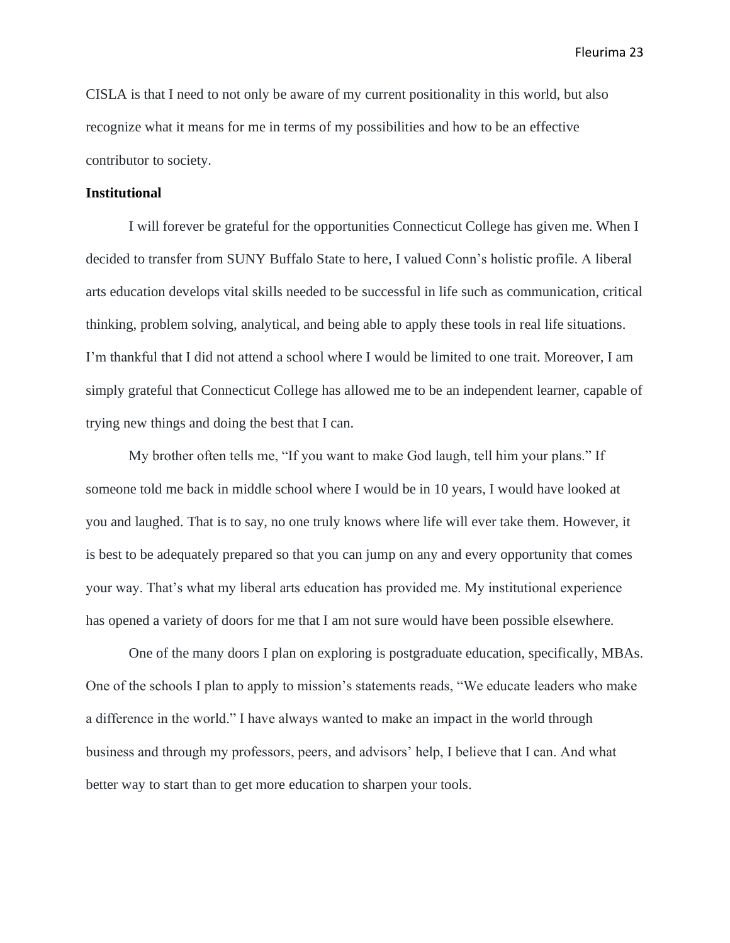CISLA is that I need to not only be aware of my current positionality in this world, but also recognize what it means for me in terms of my possibilities and how to be an effective contributor to society.

### **Institutional**

I will forever be grateful for the opportunities Connecticut College has given me. When I decided to transfer from SUNY Buffalo State to here, I valued Conn's holistic profile. A liberal arts education develops vital skills needed to be successful in life such as communication, critical thinking, problem solving, analytical, and being able to apply these tools in real life situations. I'm thankful that I did not attend a school where I would be limited to one trait. Moreover, I am simply grateful that Connecticut College has allowed me to be an independent learner, capable of trying new things and doing the best that I can.

My brother often tells me, "If you want to make God laugh, tell him your plans." If someone told me back in middle school where I would be in 10 years, I would have looked at you and laughed. That is to say, no one truly knows where life will ever take them. However, it is best to be adequately prepared so that you can jump on any and every opportunity that comes your way. That's what my liberal arts education has provided me. My institutional experience has opened a variety of doors for me that I am not sure would have been possible elsewhere.

One of the many doors I plan on exploring is postgraduate education, specifically, MBAs. One of the schools I plan to apply to mission's statements reads, "We educate leaders who make a difference in the world." I have always wanted to make an impact in the world through business and through my professors, peers, and advisors' help, I believe that I can. And what better way to start than to get more education to sharpen your tools.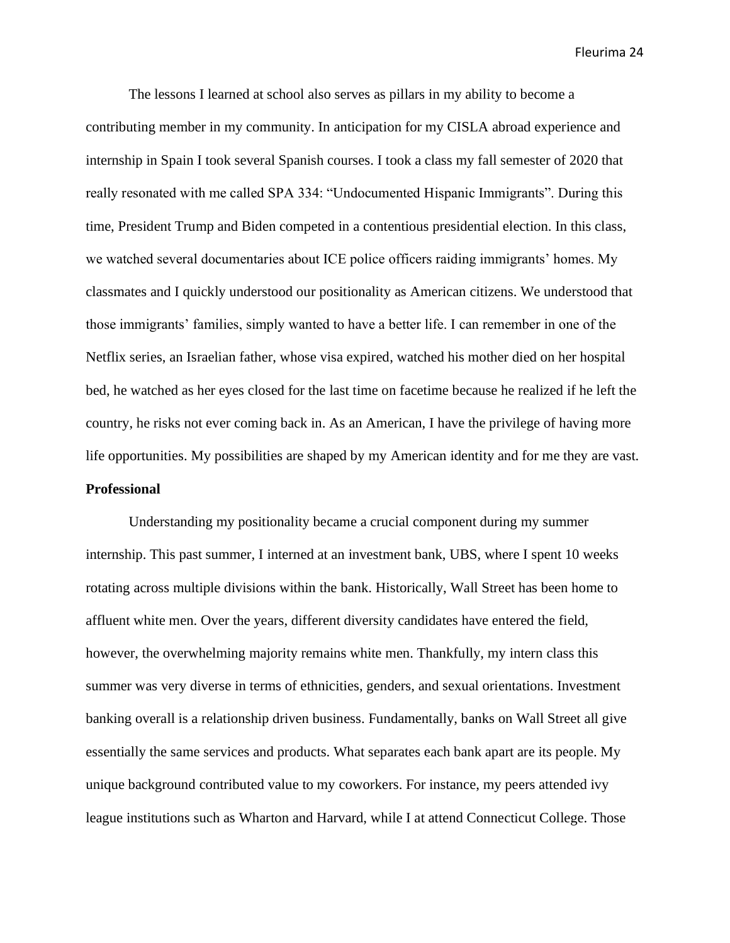The lessons I learned at school also serves as pillars in my ability to become a contributing member in my community. In anticipation for my CISLA abroad experience and internship in Spain I took several Spanish courses. I took a class my fall semester of 2020 that really resonated with me called SPA 334: "Undocumented Hispanic Immigrants". During this time, President Trump and Biden competed in a contentious presidential election. In this class, we watched several documentaries about ICE police officers raiding immigrants' homes. My classmates and I quickly understood our positionality as American citizens. We understood that those immigrants' families, simply wanted to have a better life. I can remember in one of the Netflix series, an Israelian father, whose visa expired, watched his mother died on her hospital bed, he watched as her eyes closed for the last time on facetime because he realized if he left the country, he risks not ever coming back in. As an American, I have the privilege of having more life opportunities. My possibilities are shaped by my American identity and for me they are vast. **Professional**

Understanding my positionality became a crucial component during my summer internship. This past summer, I interned at an investment bank, UBS, where I spent 10 weeks rotating across multiple divisions within the bank. Historically, Wall Street has been home to affluent white men. Over the years, different diversity candidates have entered the field, however, the overwhelming majority remains white men. Thankfully, my intern class this summer was very diverse in terms of ethnicities, genders, and sexual orientations. Investment banking overall is a relationship driven business. Fundamentally, banks on Wall Street all give essentially the same services and products. What separates each bank apart are its people. My unique background contributed value to my coworkers. For instance, my peers attended ivy league institutions such as Wharton and Harvard, while I at attend Connecticut College. Those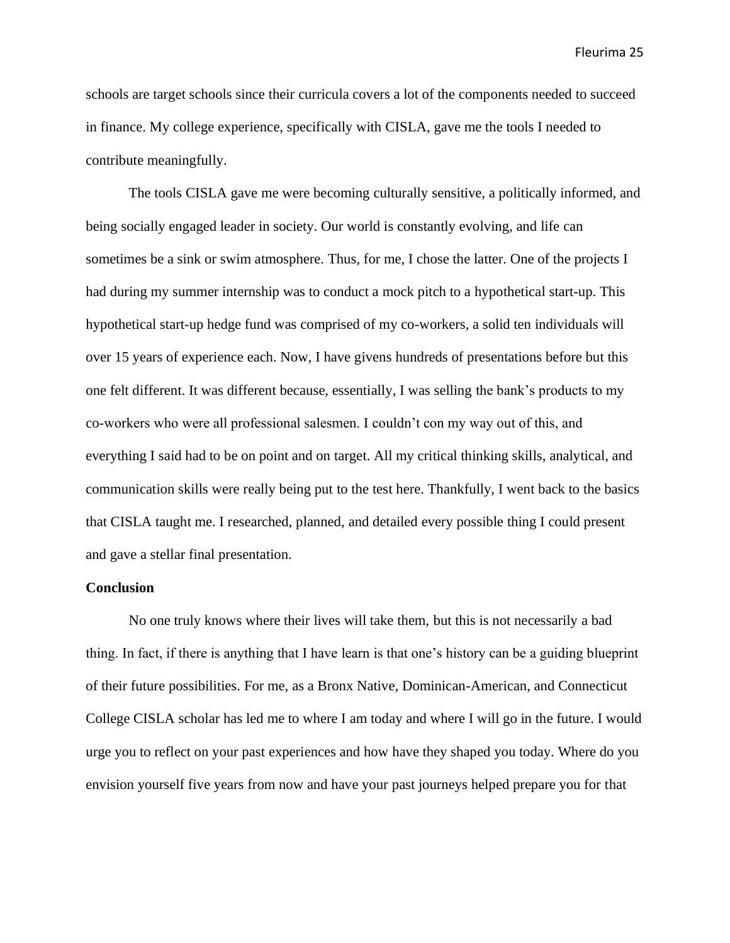schools are target schools since their curricula covers a lot of the components needed to succeed in finance. My college experience, specifically with CISLA, gave me the tools I needed to contribute meaningfully.

The tools CISLA gave me were becoming culturally sensitive, a politically informed, and being socially engaged leader in society. Our world is constantly evolving, and life can sometimes be a sink or swim atmosphere. Thus, for me, I chose the latter. One of the projects I had during my summer internship was to conduct a mock pitch to a hypothetical start-up. This hypothetical start-up hedge fund was comprised of my co-workers, a solid ten individuals will over 15 years of experience each. Now, I have givens hundreds of presentations before but this one felt different. It was different because, essentially, I was selling the bank's products to my co-workers who were all professional salesmen. I couldn't con my way out of this, and everything I said had to be on point and on target. All my critical thinking skills, analytical, and communication skills were really being put to the test here. Thankfully, I went back to the basics that CISLA taught me. I researched, planned, and detailed every possible thing I could present and gave a stellar final presentation.

# **Conclusion**

No one truly knows where their lives will take them, but this is not necessarily a bad thing. In fact, if there is anything that I have learn is that one's history can be a guiding blueprint of their future possibilities. For me, as a Bronx Native, Dominican-American, and Connecticut College CISLA scholar has led me to where I am today and where I will go in the future. I would urge you to reflect on your past experiences and how have they shaped you today. Where do you envision yourself five years from now and have your past journeys helped prepare you for that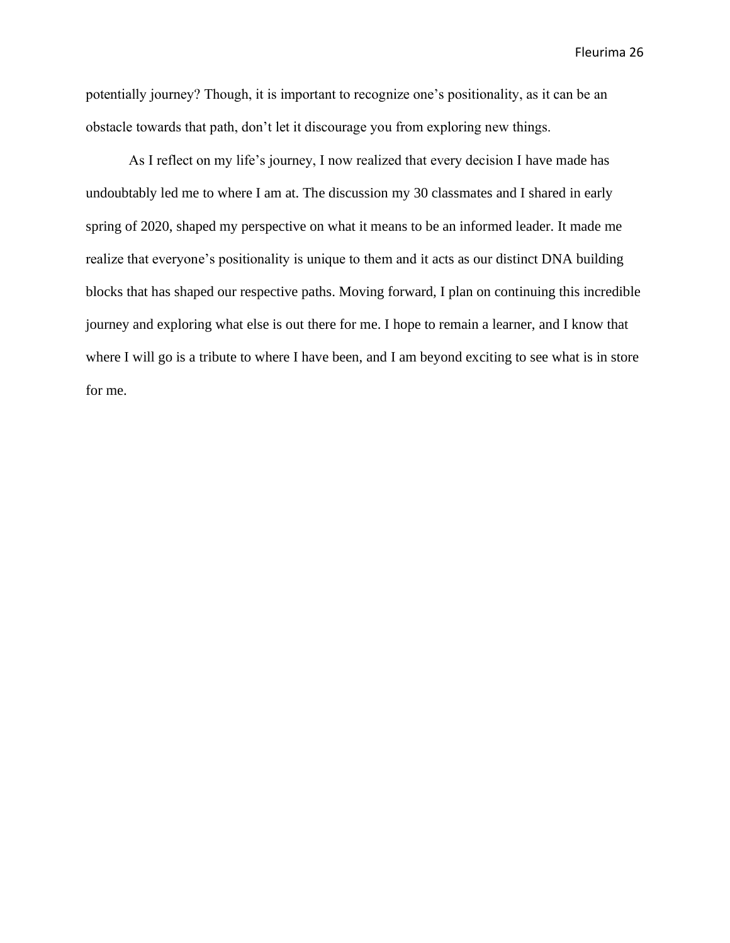potentially journey? Though, it is important to recognize one's positionality, as it can be an obstacle towards that path, don't let it discourage you from exploring new things.

As I reflect on my life's journey, I now realized that every decision I have made has undoubtably led me to where I am at. The discussion my 30 classmates and I shared in early spring of 2020, shaped my perspective on what it means to be an informed leader. It made me realize that everyone's positionality is unique to them and it acts as our distinct DNA building blocks that has shaped our respective paths. Moving forward, I plan on continuing this incredible journey and exploring what else is out there for me. I hope to remain a learner, and I know that where I will go is a tribute to where I have been, and I am beyond exciting to see what is in store for me.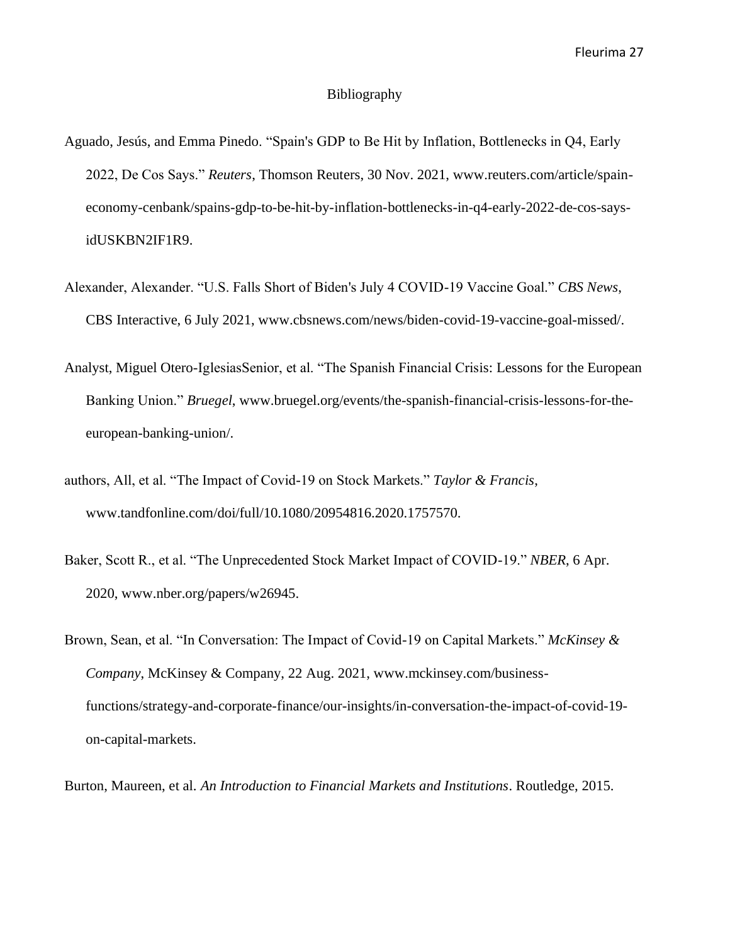#### Bibliography

- Aguado, Jesús, and Emma Pinedo. "Spain's GDP to Be Hit by Inflation, Bottlenecks in Q4, Early 2022, De Cos Says." *Reuters*, Thomson Reuters, 30 Nov. 2021, www.reuters.com/article/spaineconomy-cenbank/spains-gdp-to-be-hit-by-inflation-bottlenecks-in-q4-early-2022-de-cos-saysidUSKBN2IF1R9.
- Alexander, Alexander. "U.S. Falls Short of Biden's July 4 COVID-19 Vaccine Goal." *CBS News*, CBS Interactive, 6 July 2021, www.cbsnews.com/news/biden-covid-19-vaccine-goal-missed/.
- Analyst, Miguel Otero-IglesiasSenior, et al. "The Spanish Financial Crisis: Lessons for the European Banking Union." *Bruegel*, www.bruegel.org/events/the-spanish-financial-crisis-lessons-for-theeuropean-banking-union/.
- authors, All, et al. "The Impact of Covid-19 on Stock Markets." *Taylor & Francis*, www.tandfonline.com/doi/full/10.1080/20954816.2020.1757570.
- Baker, Scott R., et al. "The Unprecedented Stock Market Impact of COVID-19." *NBER*, 6 Apr. 2020, www.nber.org/papers/w26945.
- Brown, Sean, et al. "In Conversation: The Impact of Covid-19 on Capital Markets." *McKinsey & Company*, McKinsey & Company, 22 Aug. 2021, www.mckinsey.com/businessfunctions/strategy-and-corporate-finance/our-insights/in-conversation-the-impact-of-covid-19 on-capital-markets.

Burton, Maureen, et al. *An Introduction to Financial Markets and Institutions*. Routledge, 2015.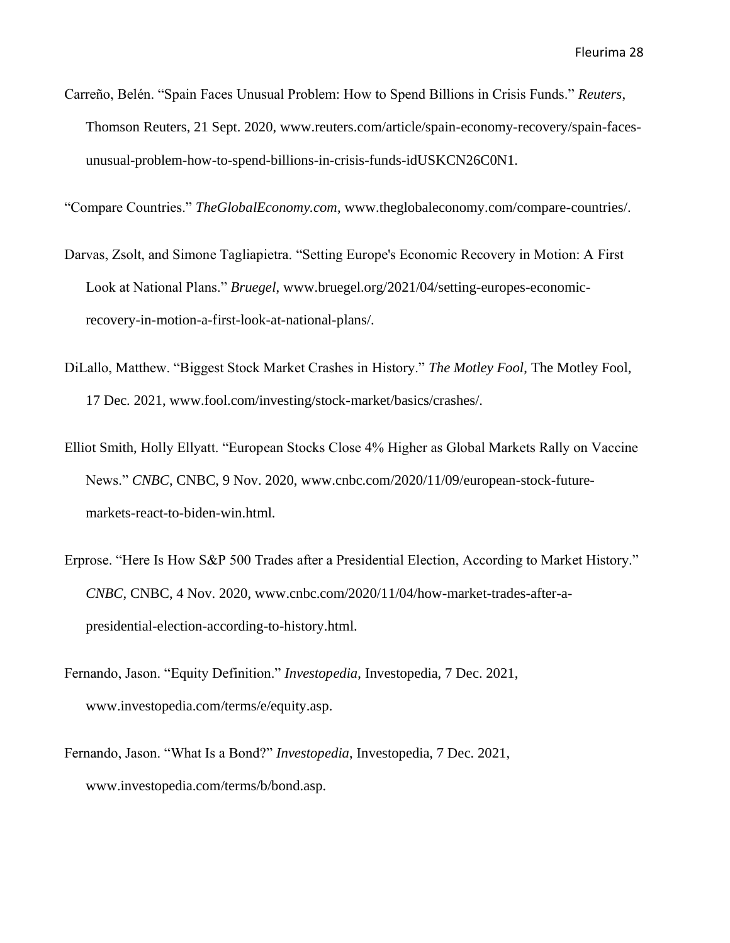Carreño, Belén. "Spain Faces Unusual Problem: How to Spend Billions in Crisis Funds." *Reuters*, Thomson Reuters, 21 Sept. 2020, www.reuters.com/article/spain-economy-recovery/spain-facesunusual-problem-how-to-spend-billions-in-crisis-funds-idUSKCN26C0N1.

"Compare Countries." *TheGlobalEconomy.com*, www.theglobaleconomy.com/compare-countries/.

- Darvas, Zsolt, and Simone Tagliapietra. "Setting Europe's Economic Recovery in Motion: A First Look at National Plans." *Bruegel*, www.bruegel.org/2021/04/setting-europes-economicrecovery-in-motion-a-first-look-at-national-plans/.
- DiLallo, Matthew. "Biggest Stock Market Crashes in History." *The Motley Fool*, The Motley Fool, 17 Dec. 2021, www.fool.com/investing/stock-market/basics/crashes/.
- Elliot Smith, Holly Ellyatt. "European Stocks Close 4% Higher as Global Markets Rally on Vaccine News." *CNBC*, CNBC, 9 Nov. 2020, www.cnbc.com/2020/11/09/european-stock-futuremarkets-react-to-biden-win.html.
- Erprose. "Here Is How S&P 500 Trades after a Presidential Election, According to Market History." *CNBC*, CNBC, 4 Nov. 2020, www.cnbc.com/2020/11/04/how-market-trades-after-apresidential-election-according-to-history.html.
- Fernando, Jason. "Equity Definition." *Investopedia*, Investopedia, 7 Dec. 2021, www.investopedia.com/terms/e/equity.asp.
- Fernando, Jason. "What Is a Bond?" *Investopedia*, Investopedia, 7 Dec. 2021, www.investopedia.com/terms/b/bond.asp.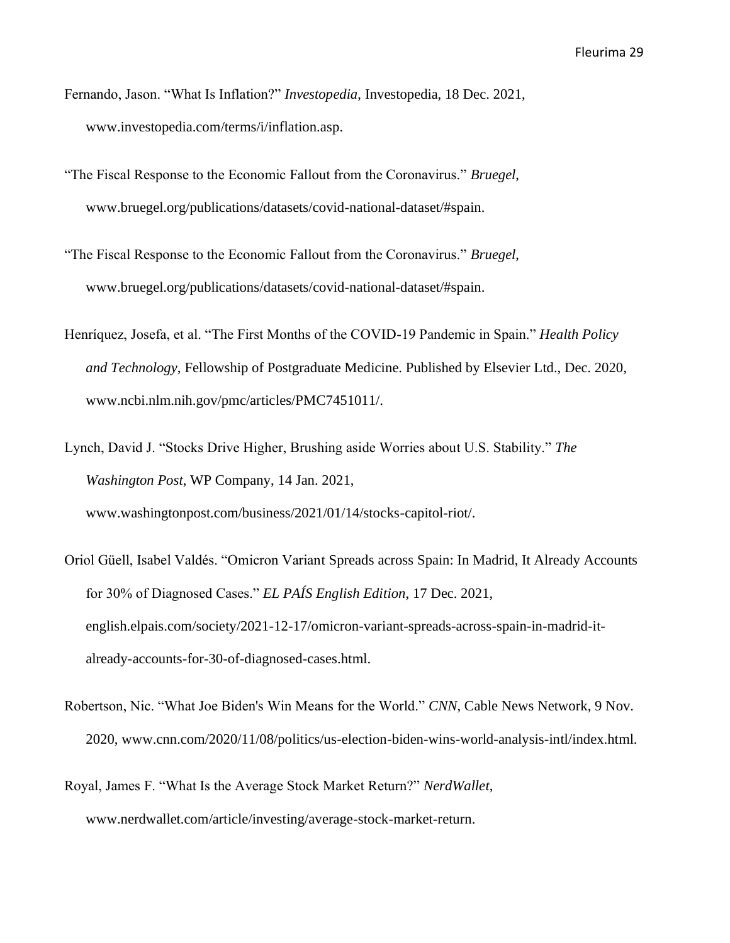- Fernando, Jason. "What Is Inflation?" *Investopedia*, Investopedia, 18 Dec. 2021, www.investopedia.com/terms/i/inflation.asp.
- "The Fiscal Response to the Economic Fallout from the Coronavirus." *Bruegel*, www.bruegel.org/publications/datasets/covid-national-dataset/#spain.
- "The Fiscal Response to the Economic Fallout from the Coronavirus." *Bruegel*, www.bruegel.org/publications/datasets/covid-national-dataset/#spain.
- Henríquez, Josefa, et al. "The First Months of the COVID-19 Pandemic in Spain." *Health Policy and Technology*, Fellowship of Postgraduate Medicine. Published by Elsevier Ltd., Dec. 2020, www.ncbi.nlm.nih.gov/pmc/articles/PMC7451011/.
- Lynch, David J. "Stocks Drive Higher, Brushing aside Worries about U.S. Stability." *The Washington Post*, WP Company, 14 Jan. 2021, www.washingtonpost.com/business/2021/01/14/stocks-capitol-riot/.
- Oriol Güell, Isabel Valdés. "Omicron Variant Spreads across Spain: In Madrid, It Already Accounts for 30% of Diagnosed Cases." *EL PAÍS English Edition*, 17 Dec. 2021, english.elpais.com/society/2021-12-17/omicron-variant-spreads-across-spain-in-madrid-italready-accounts-for-30-of-diagnosed-cases.html.
- Robertson, Nic. "What Joe Biden's Win Means for the World." *CNN*, Cable News Network, 9 Nov. 2020, www.cnn.com/2020/11/08/politics/us-election-biden-wins-world-analysis-intl/index.html.
- Royal, James F. "What Is the Average Stock Market Return?" *NerdWallet*, www.nerdwallet.com/article/investing/average-stock-market-return.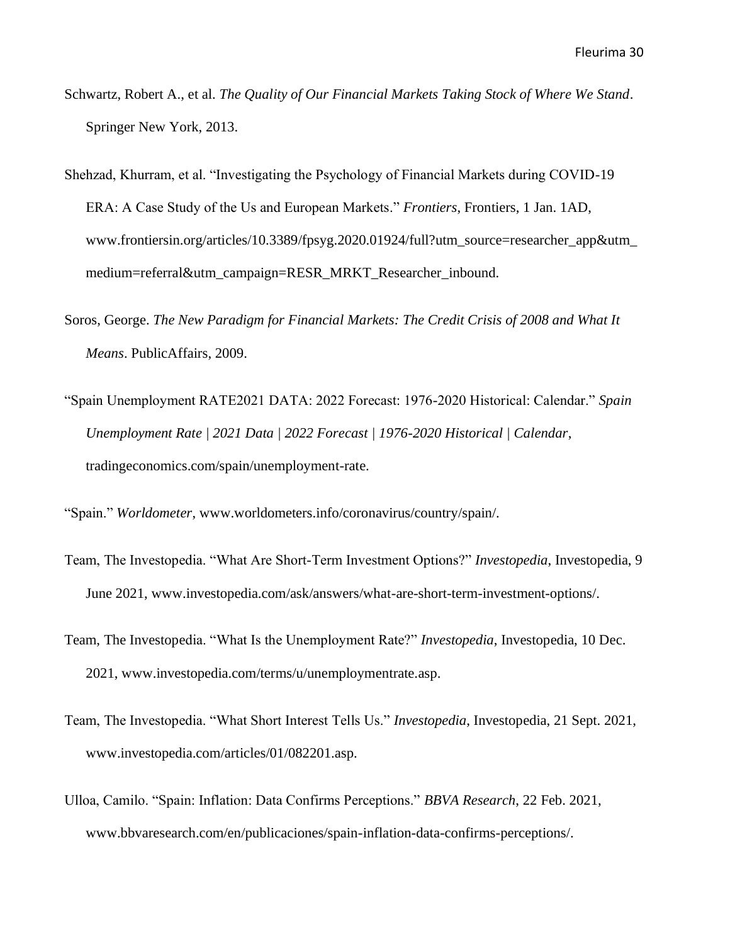- Schwartz, Robert A., et al. *The Quality of Our Financial Markets Taking Stock of Where We Stand*. Springer New York, 2013.
- Shehzad, Khurram, et al. "Investigating the Psychology of Financial Markets during COVID-19 ERA: A Case Study of the Us and European Markets." *Frontiers*, Frontiers, 1 Jan. 1AD, www.frontiersin.org/articles/10.3389/fpsyg.2020.01924/full?utm\_source=researcher\_app&utm\_ medium=referral&utm\_campaign=RESR\_MRKT\_Researcher\_inbound.
- Soros, George. *The New Paradigm for Financial Markets: The Credit Crisis of 2008 and What It Means*. PublicAffairs, 2009.
- "Spain Unemployment RATE2021 DATA: 2022 Forecast: 1976-2020 Historical: Calendar." *Spain Unemployment Rate | 2021 Data | 2022 Forecast | 1976-2020 Historical | Calendar*, tradingeconomics.com/spain/unemployment-rate.

"Spain." *Worldometer*, www.worldometers.info/coronavirus/country/spain/.

- Team, The Investopedia. "What Are Short-Term Investment Options?" *Investopedia*, Investopedia, 9 June 2021, www.investopedia.com/ask/answers/what-are-short-term-investment-options/.
- Team, The Investopedia. "What Is the Unemployment Rate?" *Investopedia*, Investopedia, 10 Dec. 2021, www.investopedia.com/terms/u/unemploymentrate.asp.
- Team, The Investopedia. "What Short Interest Tells Us." *Investopedia*, Investopedia, 21 Sept. 2021, www.investopedia.com/articles/01/082201.asp.
- Ulloa, Camilo. "Spain: Inflation: Data Confirms Perceptions." *BBVA Research*, 22 Feb. 2021, www.bbvaresearch.com/en/publicaciones/spain-inflation-data-confirms-perceptions/.